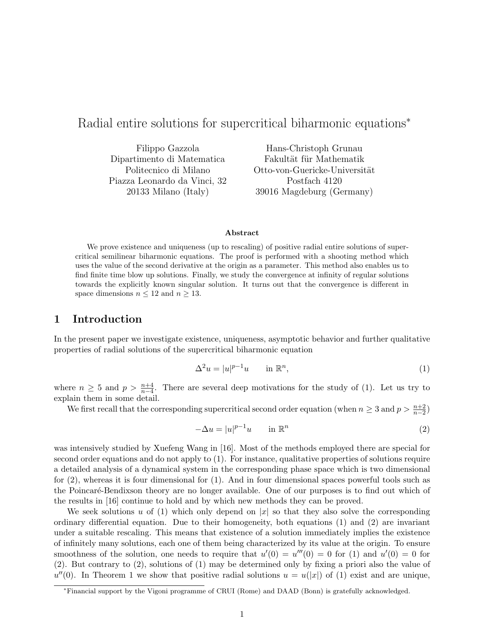# Radial entire solutions for supercritical biharmonic equations<sup>∗</sup>

Filippo Gazzola Dipartimento di Matematica Politecnico di Milano Piazza Leonardo da Vinci, 32 20133 Milano (Italy)

Hans-Christoph Grunau Fakultät für Mathematik Otto-von-Guericke-Universität Postfach 4120 39016 Magdeburg (Germany)

#### Abstract

We prove existence and uniqueness (up to rescaling) of positive radial entire solutions of supercritical semilinear biharmonic equations. The proof is performed with a shooting method which uses the value of the second derivative at the origin as a parameter. This method also enables us to find finite time blow up solutions. Finally, we study the convergence at infinity of regular solutions towards the explicitly known singular solution. It turns out that the convergence is different in space dimensions  $n \leq 12$  and  $n \geq 13$ .

## 1 Introduction

In the present paper we investigate existence, uniqueness, asymptotic behavior and further qualitative properties of radial solutions of the supercritical biharmonic equation

$$
\Delta^2 u = |u|^{p-1}u \qquad \text{in } \mathbb{R}^n,
$$
\n<sup>(1)</sup>

where  $n \geq 5$  and  $p > \frac{n+4}{n-4}$ . There are several deep motivations for the study of (1). Let us try to explain them in some detail.

We first recall that the corresponding supercritical second order equation (when  $n \geq 3$  and  $p > \frac{n+2}{n-2}$ )

$$
-\Delta u = |u|^{p-1}u \qquad \text{in } \mathbb{R}^n
$$
 (2)

was intensively studied by Xuefeng Wang in [16]. Most of the methods employed there are special for second order equations and do not apply to (1). For instance, qualitative properties of solutions require a detailed analysis of a dynamical system in the corresponding phase space which is two dimensional for (2), whereas it is four dimensional for (1). And in four dimensional spaces powerful tools such as the Poincaré-Bendixson theory are no longer available. One of our purposes is to find out which of the results in [16] continue to hold and by which new methods they can be proved.

We seek solutions u of (1) which only depend on  $|x|$  so that they also solve the corresponding ordinary differential equation. Due to their homogeneity, both equations (1) and (2) are invariant under a suitable rescaling. This means that existence of a solution immediately implies the existence of infinitely many solutions, each one of them being characterized by its value at the origin. To ensure smoothness of the solution, one needs to require that  $u'(0) = u'''(0) = 0$  for (1) and  $u'(0) = 0$  for (2). But contrary to (2), solutions of (1) may be determined only by fixing a priori also the value of  $u''(0)$ . In Theorem 1 we show that positive radial solutions  $u = u(|x|)$  of (1) exist and are unique,

<sup>∗</sup>Financial support by the Vigoni programme of CRUI (Rome) and DAAD (Bonn) is gratefully acknowledged.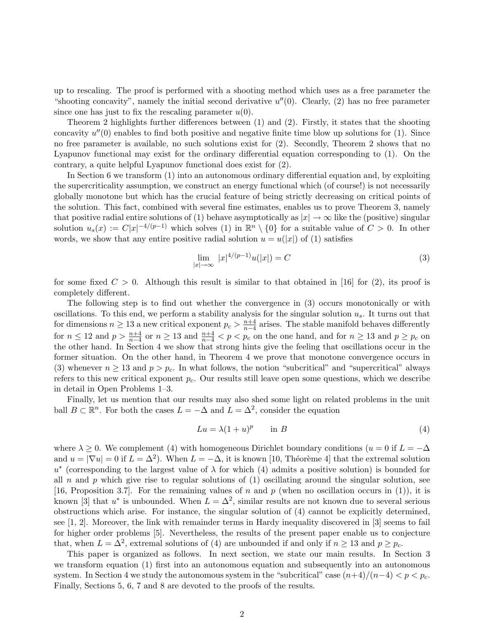up to rescaling. The proof is performed with a shooting method which uses as a free parameter the "shooting concavity", namely the initial second derivative  $u''(0)$ . Clearly, (2) has no free parameter since one has just to fix the rescaling parameter  $u(0)$ .

Theorem 2 highlights further differences between (1) and (2). Firstly, it states that the shooting concavity  $u''(0)$  enables to find both positive and negative finite time blow up solutions for (1). Since no free parameter is available, no such solutions exist for  $(2)$ . Secondly, Theorem 2 shows that no Lyapunov functional may exist for the ordinary differential equation corresponding to (1). On the contrary, a quite helpful Lyapunov functional does exist for (2).

In Section 6 we transform (1) into an autonomous ordinary differential equation and, by exploiting the supercriticality assumption, we construct an energy functional which (of course!) is not necessarily globally monotone but which has the crucial feature of being strictly decreasing on critical points of the solution. This fact, combined with several fine estimates, enables us to prove Theorem 3, namely that positive radial entire solutions of (1) behave asymptotically as  $|x| \to \infty$  like the (positive) singular solution  $u_s(x) := C|x|^{-4/(p-1)}$  which solves (1) in  $\mathbb{R}^n \setminus \{0\}$  for a suitable value of  $C > 0$ . In other words, we show that any entire positive radial solution  $u = u(|x|)$  of (1) satisfies

$$
\lim_{|x| \to \infty} |x|^{4/(p-1)} u(|x|) = C \tag{3}
$$

for some fixed  $C > 0$ . Although this result is similar to that obtained in [16] for (2), its proof is completely different.

The following step is to find out whether the convergence in (3) occurs monotonically or with oscillations. To this end, we perform a stability analysis for the singular solution  $u_s$ . It turns out that for dimensions  $n \geq 13$  a new critical exponent  $p_c > \frac{n+4}{n-4}$  $\frac{n+4}{n-4}$  arises. The stable manifold behaves differently for  $n \leq 12$  and  $p > \frac{n+4}{n-4}$  or  $n \geq 13$  and  $\frac{n+4}{n-4} < p < p_c$  on the one hand, and for  $n \geq 13$  and  $p \geq p_c$  on the other hand. In Section 4 we show that strong hints give the feeling that oscillations occur in the former situation. On the other hand, in Theorem 4 we prove that monotone convergence occurs in (3) whenever  $n \geq 13$  and  $p > p_c$ . In what follows, the notion "subcritical" and "supercritical" always refers to this new critical exponent  $p_c$ . Our results still leave open some questions, which we describe in detail in Open Problems 1–3.

Finally, let us mention that our results may also shed some light on related problems in the unit ball  $B \subset \mathbb{R}^n$ . For both the cases  $L = -\Delta$  and  $L = \Delta^2$ , consider the equation

$$
Lu = \lambda (1+u)^p \qquad \text{in } B \tag{4}
$$

where  $\lambda > 0$ . We complement (4) with homogeneous Dirichlet boundary conditions ( $u = 0$  if  $L = -\Delta$ and  $u = |\nabla u| = 0$  if  $L = \Delta^2$ ). When  $L = -\Delta$ , it is known [10, Théorème 4] that the extremal solution u<sup>\*</sup> (corresponding to the largest value of  $\lambda$  for which (4) admits a positive solution) is bounded for all n and p which give rise to regular solutions of  $(1)$  oscillating around the singular solution, see [16, Proposition 3.7]. For the remaining values of n and p (when no oscillation occurs in (1)), it is known [3] that  $u^*$  is unbounded. When  $L = \Delta^2$ , similar results are not known due to several serious obstructions which arise. For instance, the singular solution of (4) cannot be explicitly determined, see [1, 2]. Moreover, the link with remainder terms in Hardy inequality discovered in [3] seems to fail for higher order problems [5]. Nevertheless, the results of the present paper enable us to conjecture that, when  $L = \Delta^2$ , extremal solutions of (4) are unbounded if and only if  $n \ge 13$  and  $p \ge p_c$ .

This paper is organized as follows. In next section, we state our main results. In Section 3 we transform equation (1) first into an autonomous equation and subsequently into an autonomous system. In Section 4 we study the autonomous system in the "subcritical" case  $(n+4)/(n-4) < p < p_c$ . Finally, Sections 5, 6, 7 and 8 are devoted to the proofs of the results.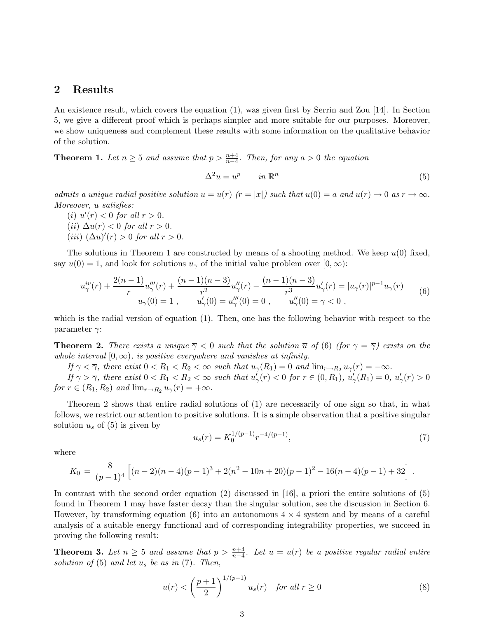### 2 Results

An existence result, which covers the equation (1), was given first by Serrin and Zou [14]. In Section 5, we give a different proof which is perhaps simpler and more suitable for our purposes. Moreover, we show uniqueness and complement these results with some information on the qualitative behavior of the solution.

**Theorem 1.** Let  $n \geq 5$  and assume that  $p > \frac{n+4}{n-4}$ . Then, for any  $a > 0$  the equation

$$
\Delta^2 u = u^p \qquad in \ \mathbb{R}^n \tag{5}
$$

admits a unique radial positive solution  $u = u(r)$   $(r = |x|)$  such that  $u(0) = a$  and  $u(r) \to 0$  as  $r \to \infty$ . Moreover, u satisfies:

(i)  $u'(r) < 0$  for all  $r > 0$ .

- (ii)  $\Delta u(r) < 0$  for all  $r > 0$ .
- (iii)  $(\Delta u)'(r) > 0$  for all  $r > 0$ .

The solutions in Theorem 1 are constructed by means of a shooting method. We keep  $u(0)$  fixed, say  $u(0) = 1$ , and look for solutions  $u<sub>\gamma</sub>$  of the initial value problem over  $[0, \infty)$ :

$$
u_{\gamma}^{iv}(r) + \frac{2(n-1)}{r}u_{\gamma}'''(r) + \frac{(n-1)(n-3)}{r^2}u_{\gamma}''(r) - \frac{(n-1)(n-3)}{r^3}u_{\gamma}'(r) = |u_{\gamma}(r)|^{p-1}u_{\gamma}(r)
$$
  

$$
u_{\gamma}(0) = 1 , \qquad u_{\gamma}'(0) = u_{\gamma}'''(0) = 0 , \qquad u_{\gamma}''(0) = \gamma < 0 ,
$$
 (6)

which is the radial version of equation (1). Then, one has the following behavior with respect to the parameter  $\gamma$ :

**Theorem 2.** There exists a unique  $\overline{\gamma} < 0$  such that the solution  $\overline{u}$  of (6) (for  $\gamma = \overline{\gamma}$ ) exists on the whole interval  $[0, \infty)$ , is positive everywhere and vanishes at infinity.

If  $\gamma < \overline{\gamma}$ , there exist  $0 < R_1 < R_2 < \infty$  such that  $u_{\gamma}(R_1) = 0$  and  $\lim_{r \to R_2} u_{\gamma}(r) = -\infty$ .

If  $\gamma > \overline{\gamma}$ , there exist  $0 < R_1 < R_2 < \infty$  such that  $u'_{\gamma}(r) < 0$  for  $r \in (0, R_1)$ ,  $u'_{\gamma}(R_1) = 0$ ,  $u'_{\gamma}(r) > 0$ for  $r \in (R_1, R_2)$  and  $\lim_{r \to R_2} u_{\gamma}(r) = +\infty$ .

Theorem 2 shows that entire radial solutions of (1) are necessarily of one sign so that, in what follows, we restrict our attention to positive solutions. It is a simple observation that a positive singular solution  $u_s$  of (5) is given by

$$
u_s(r) = K_0^{1/(p-1)} r^{-4/(p-1)},
$$
\n(7)

where

$$
K_0 = \frac{8}{(p-1)^4} \left[ (n-2)(n-4)(p-1)^3 + 2(n^2 - 10n + 20)(p-1)^2 - 16(n-4)(p-1) + 32 \right].
$$

In contrast with the second order equation (2) discussed in [16], a priori the entire solutions of (5) found in Theorem 1 may have faster decay than the singular solution, see the discussion in Section 6. However, by transforming equation (6) into an autonomous  $4 \times 4$  system and by means of a careful analysis of a suitable energy functional and of corresponding integrability properties, we succeed in proving the following result:

**Theorem 3.** Let  $n \geq 5$  and assume that  $p > \frac{n+4}{n-4}$ . Let  $u = u(r)$  be a positive regular radial entire solution of  $(5)$  and let  $u_s$  be as in  $(7)$ . Then,

$$
u(r) < \left(\frac{p+1}{2}\right)^{1/(p-1)} u_s(r) \quad \text{for all } r \ge 0
$$
 (8)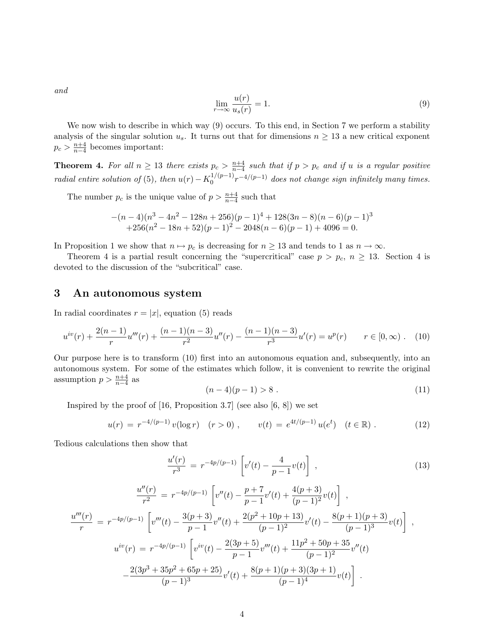and

$$
\lim_{r \to \infty} \frac{u(r)}{u_s(r)} = 1.
$$
\n(9)

We now wish to describe in which way (9) occurs. To this end, in Section 7 we perform a stability analysis of the singular solution  $u_s$ . It turns out that for dimensions  $n \geq 13$  a new critical exponent  $p_c > \frac{n+4}{n-4}$  $\frac{n+4}{n-4}$  becomes important:

**Theorem 4.** For all  $n \geq 13$  there exists  $p_c > \frac{n+4}{n-4}$  $\frac{n+4}{n-4}$  such that if  $p > p_c$  and if u is a regular positive radial entire solution of (5), then  $u(r) - K_0^{1/(p-1)}$  $\int_0^{1/(p-1)} r^{-4/(p-1)}$  does not change sign infinitely many times.

The number  $p_c$  is the unique value of  $p > \frac{n+4}{n-4}$  such that

$$
-(n-4)(n^3 - 4n^2 - 128n + 256)(p-1)^4 + 128(3n-8)(n-6)(p-1)^3
$$
  
+256(n<sup>2</sup> - 18n + 52)(p-1)<sup>2</sup> - 2048(n-6)(p-1) + 4096 = 0.

In Proposition 1 we show that  $n \mapsto p_c$  is decreasing for  $n \geq 13$  and tends to 1 as  $n \to \infty$ .

Theorem 4 is a partial result concerning the "supercritical" case  $p > p_c$ ,  $n \ge 13$ . Section 4 is devoted to the discussion of the "subcritical" case.

### 3 An autonomous system

In radial coordinates  $r = |x|$ , equation (5) reads

$$
u^{iv}(r) + \frac{2(n-1)}{r}u'''(r) + \frac{(n-1)(n-3)}{r^2}u''(r) - \frac{(n-1)(n-3)}{r^3}u'(r) = u^p(r) \qquad r \in [0, \infty).
$$
 (10)

Our purpose here is to transform (10) first into an autonomous equation and, subsequently, into an autonomous system. For some of the estimates which follow, it is convenient to rewrite the original assumption  $p > \frac{n+4}{n-4}$  as

$$
(n-4)(p-1) > 8.
$$
 (11)

Inspired by the proof of  $[16,$  Proposition 3.7 (see also  $[6, 8]$ ) we set

$$
u(r) = r^{-4/(p-1)} v(\log r) \quad (r > 0) , \qquad v(t) = e^{4t/(p-1)} u(e^t) \quad (t \in \mathbb{R}) . \tag{12}
$$

Tedious calculations then show that

r

$$
\frac{u'(r)}{r^3} = r^{-4p/(p-1)} \left[ v'(t) - \frac{4}{p-1} v(t) \right],
$$
\n
$$
\frac{u''(r)}{r^2} = r^{-4p/(p-1)} \left[ v''(t) - \frac{p+7}{p-1} v'(t) + \frac{4(p+3)}{(p-1)^2} v(t) \right],
$$
\n
$$
\frac{u'''(r)}{r} = r^{-4p/(p-1)} \left[ v'''(t) - \frac{3(p+3)}{p-1} v''(t) + \frac{2(p^2+10p+13)}{(p-1)^2} v'(t) - \frac{8(p+1)(p+3)}{(p-1)^3} v(t) \right],
$$
\n
$$
u^{iv}(r) = r^{-4p/(p-1)} \left[ v^{iv}(t) - \frac{2(3p+5)}{p-1} v'''(t) + \frac{11p^2+50p+35}{(p-1)^2} v''(t) - \frac{2(3p^3+35p^2+65p+25)}{(p-1)^3} v'(t) + \frac{8(p+1)(p+3)(3p+1)}{(p-1)^4} v(t) \right].
$$
\n(13)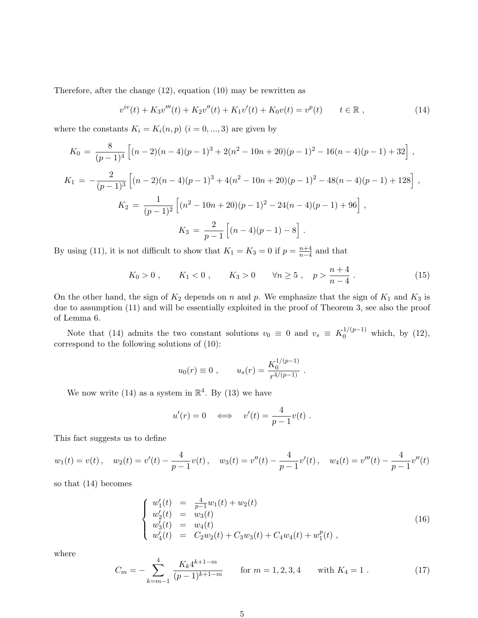Therefore, after the change (12), equation (10) may be rewritten as

$$
v^{iv}(t) + K_3 v'''(t) + K_2 v''(t) + K_1 v'(t) + K_0 v(t) = v^p(t) \qquad t \in \mathbb{R} ,
$$
\n(14)

where the constants  $K_i = K_i(n, p)$   $(i = 0, ..., 3)$  are given by

$$
K_0 = \frac{8}{(p-1)^4} \left[ (n-2)(n-4)(p-1)^3 + 2(n^2 - 10n + 20)(p-1)^2 - 16(n-4)(p-1) + 32 \right],
$$
  
\n
$$
K_1 = -\frac{2}{(p-1)^3} \left[ (n-2)(n-4)(p-1)^3 + 4(n^2 - 10n + 20)(p-1)^2 - 48(n-4)(p-1) + 128 \right],
$$
  
\n
$$
K_2 = \frac{1}{(p-1)^2} \left[ (n^2 - 10n + 20)(p-1)^2 - 24(n-4)(p-1) + 96 \right],
$$
  
\n
$$
K_3 = \frac{2}{p-1} \left[ (n-4)(p-1) - 8 \right].
$$

By using (11), it is not difficult to show that  $K_1 = K_3 = 0$  if  $p = \frac{n+4}{n-4}$  $\frac{n+4}{n-4}$  and that

$$
K_0 > 0
$$
,  $K_1 < 0$ ,  $K_3 > 0$   $\forall n \ge 5$ ,  $p > \frac{n+4}{n-4}$ . (15)

On the other hand, the sign of  $K_2$  depends on n and p. We emphasize that the sign of  $K_1$  and  $K_3$  is due to assumption (11) and will be essentially exploited in the proof of Theorem 3, see also the proof of Lemma 6.

Note that (14) admits the two constant solutions  $v_0 \equiv 0$  and  $v_s \equiv K_0^{1/(p-1)}$  which, by (12), correspond to the following solutions of (10):

$$
u_0(r) \equiv 0
$$
,  $u_s(r) = \frac{K_0^{1/(p-1)}}{r^{4/(p-1)}}$ .

We now write (14) as a system in  $\mathbb{R}^4$ . By (13) we have

$$
u'(r) = 0 \quad \Longleftrightarrow \quad v'(t) = \frac{4}{p-1}v(t) .
$$

This fact suggests us to define

$$
w_1(t) = v(t)
$$
,  $w_2(t) = v'(t) - \frac{4}{p-1}v(t)$ ,  $w_3(t) = v''(t) - \frac{4}{p-1}v'(t)$ ,  $w_4(t) = v'''(t) - \frac{4}{p-1}v''(t)$ 

so that (14) becomes

$$
\begin{cases}\nw_1'(t) = \frac{4}{p-1}w_1(t) + w_2(t) \\
w_2'(t) = w_3(t) \\
w_3'(t) = w_4(t) \\
w_4'(t) = C_2w_2(t) + C_3w_3(t) + C_4w_4(t) + w_1^p(t)\n\end{cases} (16)
$$

where

$$
C_m = -\sum_{k=m-1}^{4} \frac{K_k 4^{k+1-m}}{(p-1)^{k+1-m}} \qquad \text{for } m = 1, 2, 3, 4 \qquad \text{with } K_4 = 1. \tag{17}
$$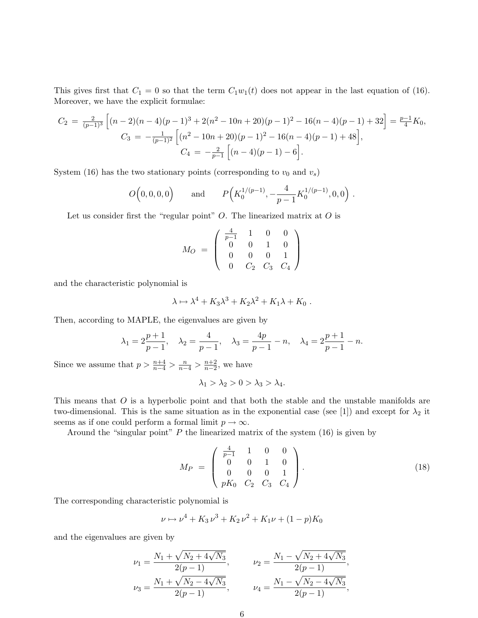This gives first that  $C_1 = 0$  so that the term  $C_1w_1(t)$  does not appear in the last equation of (16). Moreover, we have the explicit formulae:

$$
C_2 = \frac{2}{(p-1)^3} \left[ (n-2)(n-4)(p-1)^3 + 2(n^2 - 10n + 20)(p-1)^2 - 16(n-4)(p-1) + 32 \right] = \frac{p-1}{4} K_0,
$$
  
\n
$$
C_3 = -\frac{1}{(p-1)^2} \left[ (n^2 - 10n + 20)(p-1)^2 - 16(n-4)(p-1) + 48 \right],
$$
  
\n
$$
C_4 = -\frac{2}{p-1} \left[ (n-4)(p-1) - 6 \right].
$$

System (16) has the two stationary points (corresponding to  $v_0$  and  $v_s$ )

$$
O(0,0,0,0)
$$
 and  $P(K_0^{1/(p-1)}, -\frac{4}{p-1}K_0^{1/(p-1)}, 0,0)$ .

Let us consider first the "regular point"  $O$ . The linearized matrix at  $O$  is

$$
M_O = \left(\begin{array}{cccc} \frac{4}{p-1} & 1 & 0 & 0\\ 0 & 0 & 1 & 0\\ 0 & 0 & 0 & 1\\ 0 & C_2 & C_3 & C_4 \end{array}\right)
$$

and the characteristic polynomial is

$$
\lambda \mapsto \lambda^4 + K_3 \lambda^3 + K_2 \lambda^2 + K_1 \lambda + K_0.
$$

Then, according to MAPLE, the eigenvalues are given by

$$
\lambda_1 = 2\frac{p+1}{p-1},
$$
,  $\lambda_2 = \frac{4}{p-1},$ ,  $\lambda_3 = \frac{4p}{p-1} - n,$ ,  $\lambda_4 = 2\frac{p+1}{p-1} - n.$ 

Since we assume that  $p > \frac{n+4}{n-4} > \frac{n}{n-4} > \frac{n+2}{n-2}$  $\frac{n+2}{n-2}$ , we have

$$
\lambda_1 > \lambda_2 > 0 > \lambda_3 > \lambda_4.
$$

This means that O is a hyperbolic point and that both the stable and the unstable manifolds are two-dimensional. This is the same situation as in the exponential case (see [1]) and except for  $\lambda_2$  it seems as if one could perform a formal limit  $p \to \infty$ .

Around the "singular point"  $P$  the linearized matrix of the system  $(16)$  is given by

$$
M_P = \begin{pmatrix} \frac{4}{p-1} & 1 & 0 & 0 \\ 0 & 0 & 1 & 0 \\ 0 & 0 & 0 & 1 \\ pK_0 & C_2 & C_3 & C_4 \end{pmatrix} .
$$
 (18)

The corresponding characteristic polynomial is

$$
\nu \mapsto \nu^4 + K_3 \nu^3 + K_2 \nu^2 + K_1 \nu + (1 - p)K_0
$$

and the eigenvalues are given by

$$
\nu_1 = \frac{N_1 + \sqrt{N_2 + 4\sqrt{N_3}}}{2(p-1)},
$$
  
\n
$$
\nu_2 = \frac{N_1 - \sqrt{N_2 + 4\sqrt{N_3}}}{2(p-1)},
$$
  
\n
$$
\nu_3 = \frac{N_1 + \sqrt{N_2 - 4\sqrt{N_3}}}{2(p-1)},
$$
  
\n
$$
\nu_4 = \frac{N_1 - \sqrt{N_2 - 4\sqrt{N_3}}}{2(p-1)},
$$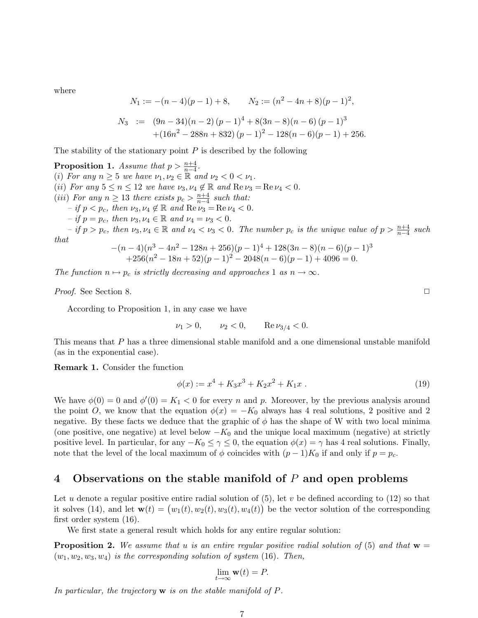where

$$
N_1 := -(n-4)(p-1) + 8, \qquad N_2 := (n^2 - 4n + 8)(p-1)^2,
$$
  
\n
$$
N_3 := (9n - 34)(n-2)(p-1)^4 + 8(3n - 8)(n - 6)(p-1)^3
$$
  
\n
$$
+ (16n^2 - 288n + 832)(p-1)^2 - 128(n-6)(p-1) + 256.
$$

The stability of the stationary point  $P$  is described by the following

**Proposition 1.** Assume that  $p > \frac{n+4}{n-4}$ . (i) For any  $n \geq 5$  we have  $\nu_1, \nu_2 \in \mathbb{R}$  and  $\nu_2 < 0 < \nu_1$ . (ii) For any  $5 \le n \le 12$  we have  $\nu_3, \nu_4 \notin \mathbb{R}$  and  $\text{Re}\,\nu_3 = \text{Re}\,\nu_4 < 0$ . (iii) For any  $n \geq 13$  there exists  $p_c > \frac{n+4}{n-4}$  $\frac{n+4}{n-4}$  such that:  $-$  if  $p < p_c$ , then  $\nu_3, \nu_4 \notin \mathbb{R}$  and  $\text{Re}\,\nu_3 = \text{Re}\,\nu_4 < 0$ . – if  $p = p_c$ , then  $\nu_3, \nu_4 \in \mathbb{R}$  and  $\nu_4 = \nu_3 < 0$ .  $-$  if  $p > p_c$ , then  $\nu_3, \nu_4 \in \mathbb{R}$  and  $\nu_4 < \nu_3 < 0$ . The number  $p_c$  is the unique value of  $p > \frac{n+4}{n-4}$  such that  $-(n-4)(n^3-4n)$  $2^2 - 128n + 256$  $(p-1)^4 + 128(3n-8)(n-6)(p-1)^3$ 

$$
(n-4)(n^3 - 4n^2 - 128n + 256)(p-1)^3 + 128(3n-8)(n-6)(p-1)^3
$$
  
+256(n<sup>2</sup> - 18n + 52)(p-1)<sup>2</sup> - 2048(n-6)(p-1) + 4096 = 0.

The function  $n \mapsto p_c$  is strictly decreasing and approaches 1 as  $n \to \infty$ .

Proof. See Section 8. <del>◯</del>

According to Proposition 1, in any case we have

 $\nu_1 > 0, \quad \nu_2 < 0, \quad \text{Re}\,\nu_{3/4} < 0.$ 

This means that P has a three dimensional stable manifold and a one dimensional unstable manifold (as in the exponential case).

Remark 1. Consider the function

$$
\phi(x) := x^4 + K_3 x^3 + K_2 x^2 + K_1 x \tag{19}
$$

We have  $\phi(0) = 0$  and  $\phi'(0) = K_1 < 0$  for every n and p. Moreover, by the previous analysis around the point O, we know that the equation  $\phi(x) = -K_0$  always has 4 real solutions, 2 positive and 2 negative. By these facts we deduce that the graphic of  $\phi$  has the shape of W with two local minima (one positive, one negative) at level below  $-K_0$  and the unique local maximum (negative) at strictly positive level. In particular, for any  $-K_0 \leq \gamma \leq 0$ , the equation  $\phi(x) = \gamma$  has 4 real solutions. Finally, note that the level of the local maximum of  $\phi$  coincides with  $(p-1)K_0$  if and only if  $p = p_c$ .

### 4 Observations on the stable manifold of  $P$  and open problems

Let u denote a regular positive entire radial solution of  $(5)$ , let v be defined according to  $(12)$  so that Let u denote a regular positive entire radial solution of (5), let v be defined according to (12) so that<br>it solves (14), and let  $\mathbf{w}(t) = (w_1(t), w_2(t), w_3(t), w_4(t))$  be the vector solution of the corresponding first order system (16).

We first state a general result which holds for any entire regular solution:

**Proposition 2.** We assume that u is an entire regular positive radial solution of (5) and that  $w =$  $(w_1, w_2, w_3, w_4)$  is the corresponding solution of system (16). Then,

$$
\lim_{t \to \infty} \mathbf{w}(t) = P.
$$

In particular, the trajectory  $\bf{w}$  is on the stable manifold of P.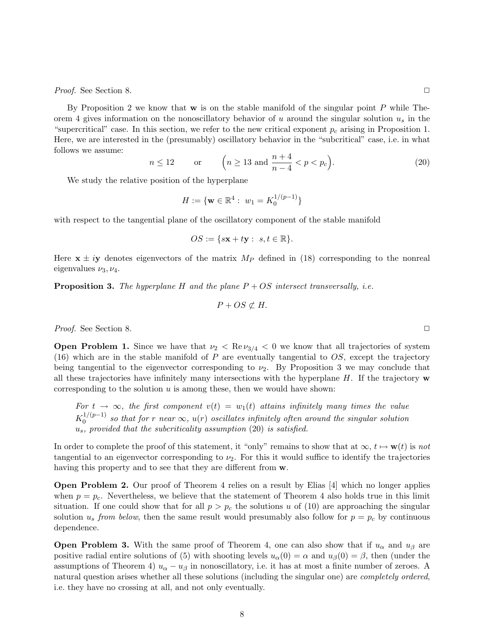Proof. See Section 8. <del>◯</del>

By Proposition 2 we know that  $w$  is on the stable manifold of the singular point P while Theorem 4 gives information on the nonoscillatory behavior of u around the singular solution  $u_s$  in the "supercritical" case. In this section, we refer to the new critical exponent  $p_c$  arising in Proposition 1. Here, we are interested in the (presumably) oscillatory behavior in the "subcritical" case, i.e. in what follows we assume: ´

$$
n \le 12 \qquad \text{or} \qquad \left(n \ge 13 \text{ and } \frac{n+4}{n-4} < p < p_c\right). \tag{20}
$$

We study the relative position of the hyperplane

$$
H := \{ \mathbf{w} \in \mathbb{R}^4 : w_1 = K_0^{1/(p-1)} \}
$$

with respect to the tangential plane of the oscillatory component of the stable manifold

$$
OS := \{ s\mathbf{x} + t\mathbf{y} : s, t \in \mathbb{R} \}.
$$

Here  $x \pm iy$  denotes eigenvectors of the matrix  $M_P$  defined in (18) corresponding to the nonreal eigenvalues  $\nu_3, \nu_4$ .

**Proposition 3.** The hyperplane H and the plane  $P + OS$  intersect transversally, i.e.

$$
P + OS \not\subset H.
$$

Proof. See Section 8. <del>◯</del>

**Open Problem 1.** Since we have that  $\nu_2 < \text{Re}\nu_{3/4} < 0$  we know that all trajectories of system  $(16)$  which are in the stable manifold of P are eventually tangential to OS, except the trajectory being tangential to the eigenvector corresponding to  $\nu_2$ . By Proposition 3 we may conclude that all these trajectories have infinitely many intersections with the hyperplane  $H$ . If the trajectory  $\bf{w}$ corresponding to the solution  $u$  is among these, then we would have shown:

For  $t \to \infty$ , the first component  $v(t) = w_1(t)$  attains infinitely many times the value  $K_0^{1/(p-1)}$  $\int_0^{\frac{1}{r}}$  so that for r near  $\infty$ ,  $u(r)$  oscillates infinitely often around the singular solution  $u_s$ , provided that the subcriticality assumption (20) is satisfied.

In order to complete the proof of this statement, it "only" remains to show that at  $\infty$ ,  $t \mapsto \mathbf{w}(t)$  is not tangential to an eigenvector corresponding to  $\nu_2$ . For this it would suffice to identify the trajectories having this property and to see that they are different from  $w$ .

Open Problem 2. Our proof of Theorem 4 relies on a result by Elias [4] which no longer applies when  $p = p_c$ . Nevertheless, we believe that the statement of Theorem 4 also holds true in this limit situation. If one could show that for all  $p > p_c$  the solutions u of (10) are approaching the singular solution  $u_s$  from below, then the same result would presumably also follow for  $p = p_c$  by continuous dependence.

**Open Problem 3.** With the same proof of Theorem 4, one can also show that if  $u_{\alpha}$  and  $u_{\beta}$  are positive radial entire solutions of (5) with shooting levels  $u_{\alpha}(0) = \alpha$  and  $u_{\beta}(0) = \beta$ , then (under the assumptions of Theorem 4)  $u_{\alpha} - u_{\beta}$  in nonoscillatory, i.e. it has at most a finite number of zeroes. A natural question arises whether all these solutions (including the singular one) are *completely ordered*, i.e. they have no crossing at all, and not only eventually.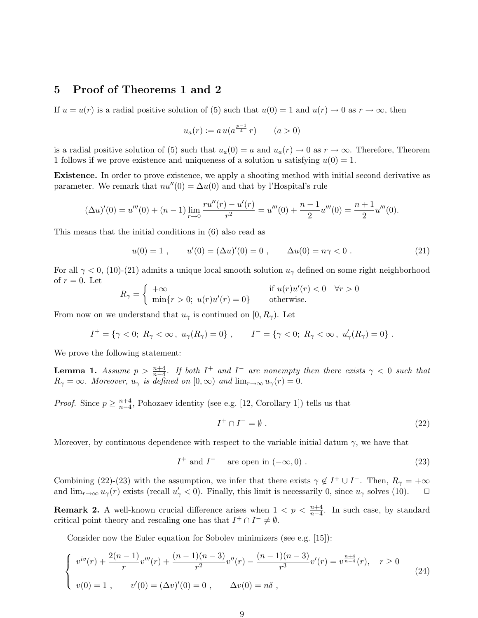### 5 Proof of Theorems 1 and 2

If  $u = u(r)$  is a radial positive solution of (5) such that  $u(0) = 1$  and  $u(r) \to 0$  as  $r \to \infty$ , then

$$
u_a(r) := a u(a^{\frac{p-1}{4}} r) \qquad (a > 0)
$$

is a radial positive solution of (5) such that  $u_a(0) = a$  and  $u_a(r) \to 0$  as  $r \to \infty$ . Therefore, Theorem 1 follows if we prove existence and uniqueness of a solution u satisfying  $u(0) = 1$ .

Existence. In order to prove existence, we apply a shooting method with initial second derivative as parameter. We remark that  $nu''(0) = \Delta u(0)$  and that by l'Hospital's rule

$$
(\Delta u)'(0) = u'''(0) + (n-1)\lim_{r \to 0} \frac{ru''(r) - u'(r)}{r^2} = u'''(0) + \frac{n-1}{2}u'''(0) = \frac{n+1}{2}u'''(0).
$$

This means that the initial conditions in (6) also read as

$$
u(0) = 1 , \t u'(0) = (\Delta u)'(0) = 0 , \t \Delta u(0) = n\gamma < 0 . \t (21)
$$

For all  $\gamma$  < 0, (10)-(21) admits a unique local smooth solution  $u_{\gamma}$  defined on some right neighborhood of  $r = 0$ . Let ½

$$
R_{\gamma} = \begin{cases} +\infty & \text{if } u(r)u'(r) < 0 \quad \forall r > 0\\ \min\{r > 0; \ u(r)u'(r) = 0\} & \text{otherwise.} \end{cases}
$$

From now on we understand that  $u_{\gamma}$  is continued on [0,  $R_{\gamma}$ ). Let

$$
I^+ = \{ \gamma < 0; \ R_\gamma < \infty \, , \ u_\gamma(R_\gamma) = 0 \} \, , \qquad I^- = \{ \gamma < 0; \ R_\gamma < \infty \, , \ u_\gamma'(R_\gamma) = 0 \} \, .
$$

We prove the following statement:

**Lemma 1.** Assume  $p > \frac{n+4}{n-4}$ . If both  $I^+$  and  $I^-$  are nonempty then there exists  $\gamma < 0$  such that  $R_{\gamma} = \infty$ . Moreover,  $u_{\gamma}$  is defined on  $[0, \infty)$  and  $\lim_{r \to \infty} u_{\gamma}(r) = 0$ .

*Proof.* Since  $p \geq \frac{n+4}{n-4}$  $\frac{n+4}{n-4}$ , Pohozaev identity (see e.g. [12, Corollary 1]) tells us that

$$
I^+ \cap I^- = \emptyset \tag{22}
$$

Moreover, by continuous dependence with respect to the variable initial datum  $\gamma$ , we have that

$$
I^{+} \text{ and } I^{-} \quad \text{ are open in } (-\infty, 0) .
$$
 (23)

Combining (22)-(23) with the assumption, we infer that there exists  $\gamma \notin I^+ \cup I^-$ . Then,  $R_{\gamma} = +\infty$ and  $\lim_{r\to\infty} u_\gamma(r)$  exists (recall  $u'_\gamma < 0$ ). Finally, this limit is necessarily 0, since  $u_\gamma$  solves (10).  $\Box$ 

**Remark 2.** A well-known crucial difference arises when  $1 < p < \frac{n+4}{n-4}$ . In such case, by standard critical point theory and rescaling one has that  $I^+ \cap I^- \neq \emptyset$ .

Consider now the Euler equation for Sobolev minimizers (see e.g. [15]):

$$
\begin{cases}\nv^{iv}(r) + \frac{2(n-1)}{r}v'''(r) + \frac{(n-1)(n-3)}{r^2}v''(r) - \frac{(n-1)(n-3)}{r^3}v'(r) = v^{\frac{n+4}{n-4}}(r), & r \ge 0 \\
v(0) = 1, & v'(0) = (\Delta v)'(0) = 0, & \Delta v(0) = n\delta,\n\end{cases}
$$
\n(24)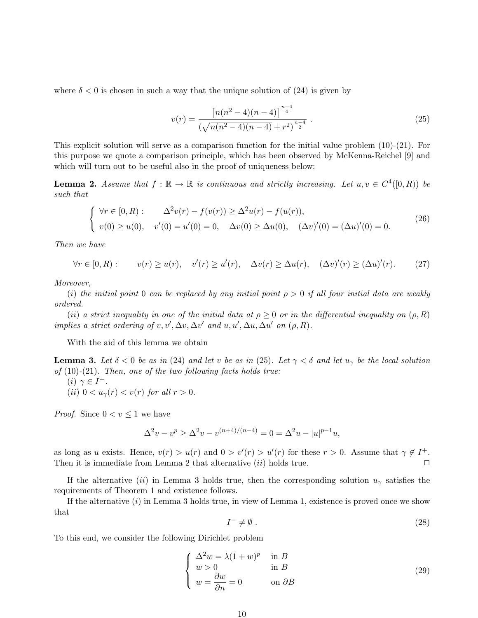where  $\delta < 0$  is chosen in such a way that the unique solution of (24) is given by

$$
v(r) = \frac{\left[n(n^2 - 4)(n - 4)\right]^{\frac{n - 4}{4}}}{\left(\sqrt{n(n^2 - 4)(n - 4)} + r^2\right)^{\frac{n - 4}{2}}}.
$$
\n(25)

This explicit solution will serve as a comparison function for the initial value problem (10)-(21). For this purpose we quote a comparison principle, which has been observed by McKenna-Reichel [9] and which will turn out to be useful also in the proof of uniqueness below:

**Lemma 2.** Assume that  $f : \mathbb{R} \to \mathbb{R}$  is continuous and strictly increasing. Let  $u, v \in C^4([0, R))$  be such that

$$
\begin{cases}\n\forall r \in [0, R): \quad \Delta^2 v(r) - f(v(r)) \ge \Delta^2 u(r) - f(u(r)), \\
v(0) \ge u(0), \quad v'(0) = u'(0) = 0, \quad \Delta v(0) \ge \Delta u(0), \quad (\Delta v)'(0) = (\Delta u)'(0) = 0.\n\end{cases}
$$
\n(26)

Then we have

 $\forall r \in [0, R):$   $v(r) \ge u(r), \quad v'(r) \ge u'(r), \quad \Delta v(r) \ge \Delta u(r), \quad (\Delta v)'(r) \ge (\Delta u)'$  $(27)$ 

Moreover,

(i) the initial point 0 can be replaced by any initial point  $\rho > 0$  if all four initial data are weakly ordered.

(ii) a strict inequality in one of the initial data at  $\rho \geq 0$  or in the differential inequality on  $(\rho, R)$ implies a strict ordering of v, v',  $\Delta v$ ,  $\Delta v'$  and u, u',  $\Delta u$ ,  $\Delta u'$  on  $(\rho, R)$ .

With the aid of this lemma we obtain

**Lemma 3.** Let  $\delta < 0$  be as in (24) and let v be as in (25). Let  $\gamma < \delta$  and let  $u_{\gamma}$  be the local solution of  $(10)-(21)$ . Then, one of the two following facts holds true:

(*i*)  $\gamma \in I^+$ . (ii)  $0 < u<sub>\gamma</sub>(r) < v(r)$  for all  $r > 0$ .

*Proof.* Since  $0 < v \leq 1$  we have

$$
\Delta^2 v - v^p \ge \Delta^2 v - v^{(n+4)/(n-4)} = 0 = \Delta^2 u - |u|^{p-1}u,
$$

as long as u exists. Hence,  $v(r) > u(r)$  and  $0 > v'(r) > u'(r)$  for these  $r > 0$ . Assume that  $\gamma \notin I^+$ . Then it is immediate from Lemma 2 that alternative  $(ii)$  holds true.  $\Box$ 

If the alternative (ii) in Lemma 3 holds true, then the corresponding solution  $u_{\gamma}$  satisfies the requirements of Theorem 1 and existence follows.

If the alternative  $(i)$  in Lemma 3 holds true, in view of Lemma 1, existence is proved once we show that

$$
I^- \neq \emptyset. \tag{28}
$$

To this end, we consider the following Dirichlet problem

$$
\begin{cases}\n\Delta^2 w = \lambda (1+w)^p & \text{in } B \\
w > 0 & \text{in } B \\
w = \frac{\partial w}{\partial n} = 0 & \text{on } \partial B\n\end{cases}
$$
\n(29)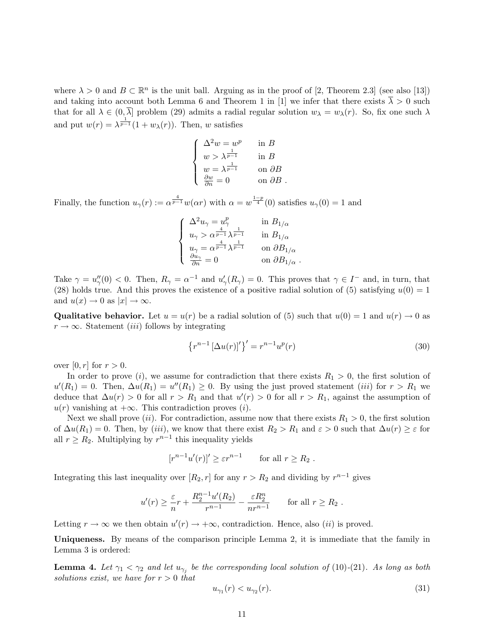where  $\lambda > 0$  and  $B \subset \mathbb{R}^n$  is the unit ball. Arguing as in the proof of [2, Theorem 2.3] (see also [13]) and taking into account both Lemma 6 and Theorem 1 in [1] we infer that there exists  $\overline{\lambda} > 0$  such that for all  $\lambda \in (0, \overline{\lambda}]$  problem (29) admits a radial regular solution  $w_{\lambda} = w_{\lambda}(r)$ . So, fix one such  $\lambda$ and put  $w(r) = \lambda^{\frac{1}{p-1}}(1+w_{\lambda}(r))$ . Then, w satisfies

$$
\begin{cases}\n\Delta^2 w = w^p & \text{in } B \\
w > \lambda^{\frac{1}{p-1}} & \text{in } B \\
w = \lambda^{\frac{1}{p-1}} & \text{on } \partial B \\
\frac{\partial w}{\partial n} = 0 & \text{on } \partial B\n\end{cases}.
$$

Finally, the function  $u_\gamma(r) := \alpha^{\frac{4}{p-1}} w(\alpha r)$  with  $\alpha = w^{\frac{1-p}{4}}(0)$  satisfies  $u_\gamma(0) = 1$  and

$$
\left\{\begin{array}{ll} \Delta^2 u_\gamma = u_\gamma^p & \text{in } B_{1/\alpha} \\ u_\gamma > \alpha^{\frac{4}{p-1}} \lambda^{\frac{1}{p-1}} & \text{in } B_{1/\alpha} \\ u_\gamma = \alpha^{\frac{4}{p-1}} \lambda^{\frac{1}{p-1}} & \text{on } \partial B_{1/\alpha} \\ \frac{\partial u_\gamma}{\partial n} = 0 & \text{on } \partial B_{1/\alpha} \end{array}\right.
$$

Take  $\gamma = u''_{\gamma}(0) < 0$ . Then,  $R_{\gamma} = \alpha^{-1}$  and  $u'_{\gamma}(R_{\gamma}) = 0$ . This proves that  $\gamma \in I^{-}$  and, in turn, that (28) holds true. And this proves the existence of a positive radial solution of (5) satisfying  $u(0) = 1$ and  $u(x) \to 0$  as  $|x| \to \infty$ .

**Qualitative behavior.** Let  $u = u(r)$  be a radial solution of (5) such that  $u(0) = 1$  and  $u(r) \rightarrow 0$  as  $r \to \infty$ . Statement *(iii)* follows by integrating

$$
\left\{r^{n-1}\left[\Delta u(r)\right]'\right\}' = r^{n-1}u^p(r) \tag{30}
$$

over  $[0, r]$  for  $r > 0$ .

In order to prove (i), we assume for contradiction that there exists  $R_1 > 0$ , the first solution of  $u'(R_1) = 0$ . Then,  $\Delta u(R_1) = u''(R_1) \ge 0$ . By using the just proved statement *(iii)* for  $r > R_1$  we deduce that  $\Delta u(r) > 0$  for all  $r > R_1$  and that  $u'(r) > 0$  for all  $r > R_1$ , against the assumption of  $u(r)$  vanishing at  $+\infty$ . This contradiction proves (*i*).

Next we shall prove (ii). For contradiction, assume now that there exists  $R_1 > 0$ , the first solution of  $\Delta u(R_1) = 0$ . Then, by (iii), we know that there exist  $R_2 > R_1$  and  $\varepsilon > 0$  such that  $\Delta u(r) \geq \varepsilon$  for all  $r \geq R_2$ . Multiplying by  $r^{n-1}$  this inequality yields

$$
[r^{n-1}u'(r)]' \ge \varepsilon r^{n-1} \quad \text{for all } r \ge R_2 .
$$

Integrating this last inequality over  $[R_2, r]$  for any  $r > R_2$  and dividing by  $r^{n-1}$  gives

$$
u'(r) \ge \frac{\varepsilon}{n}r + \frac{R_2^{n-1}u'(R_2)}{r^{n-1}} - \frac{\varepsilon R_2^n}{nr^{n-1}} \quad \text{for all } r \ge R_2.
$$

Letting  $r \to \infty$  we then obtain  $u'(r) \to +\infty$ , contradiction. Hence, also *(ii)* is proved.

Uniqueness. By means of the comparison principle Lemma 2, it is immediate that the family in Lemma 3 is ordered:

**Lemma 4.** Let  $\gamma_1 < \gamma_2$  and let  $u_{\gamma_j}$  be the corresponding local solution of (10)-(21). As long as both solutions exist, we have for  $r > 0$  that

$$
u_{\gamma_1}(r) < u_{\gamma_2}(r). \tag{31}
$$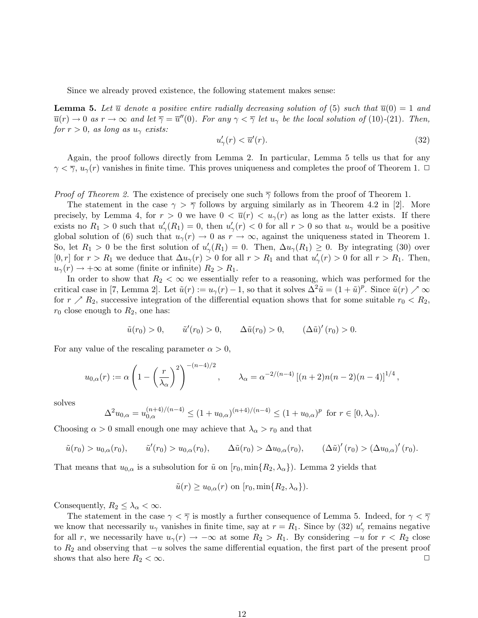Since we already proved existence, the following statement makes sense:

**Lemma 5.** Let  $\overline{u}$  denote a positive entire radially decreasing solution of (5) such that  $\overline{u}(0) = 1$  and  $\overline{u}(r) \to 0$  as  $r \to \infty$  and let  $\overline{\gamma} = \overline{u}''(0)$ . For any  $\gamma < \overline{\gamma}$  let  $u_{\gamma}$  be the local solution of (10)-(21). Then, for  $r > 0$ , as long as  $u_{\gamma}$  exists:

$$
u'_{\gamma}(r) < \overline{u}'(r). \tag{32}
$$

Again, the proof follows directly from Lemma 2. In particular, Lemma 5 tells us that for any  $\gamma < \overline{\gamma}$ ,  $u_{\gamma}(r)$  vanishes in finite time. This proves uniqueness and completes the proof of Theorem 1.  $\Box$ 

*Proof of Theorem 2.* The existence of precisely one such  $\overline{\gamma}$  follows from the proof of Theorem 1.

The statement in the case  $\gamma > \overline{\gamma}$  follows by arguing similarly as in Theorem 4.2 in [2]. More precisely, by Lemma 4, for  $r > 0$  we have  $0 < \overline{u}(r) < u_{\gamma}(r)$  as long as the latter exists. If there exists no  $R_1 > 0$  such that  $u'_{\gamma}(R_1) = 0$ , then  $u'_{\gamma}(r) < 0$  for all  $r > 0$  so that  $u_{\gamma}$  would be a positive global solution of (6) such that  $u_{\gamma}(r) \to 0$  as  $r \to \infty$ , against the uniqueness stated in Theorem 1. So, let  $R_1 > 0$  be the first solution of  $u'_{\gamma}(R_1) = 0$ . Then,  $\Delta u_{\gamma}(R_1) \geq 0$ . By integrating (30) over [0, r] for  $r > R_1$  we deduce that  $\Delta u_\gamma(r) > 0$  for all  $r > R_1$  and that  $u'_\gamma(r) > 0$  for all  $r > R_1$ . Then,  $u_{\gamma}(r) \rightarrow +\infty$  at some (finite or infinite)  $R_2 > R_1$ .

In order to show that  $R_2 < \infty$  we essentially refer to a reasoning, which was performed for the critical case in [7, Lemma 2]. Let  $\tilde{u}(r) := u_{\gamma}(r) - 1$ , so that it solves  $\Delta^2 \tilde{u} = (1 + \tilde{u})^p$ . Since  $\tilde{u}(r) \nearrow \infty$ for  $r \nearrow R_2$ , successive integration of the differential equation shows that for some suitable  $r_0 < R_2$ ,  $r_0$  close enough to  $R_2$ , one has:

$$
\tilde{u}(r_0) > 0,
$$
  $\tilde{u}'(r_0) > 0,$   $\Delta \tilde{u}(r_0) > 0,$   $(\Delta \tilde{u})'(r_0) > 0.$ 

For any value of the rescaling parameter  $\alpha > 0$ ,

$$
u_{0,\alpha}(r) := \alpha \left( 1 - \left(\frac{r}{\lambda_{\alpha}}\right)^2 \right)^{-(n-4)/2}, \qquad \lambda_{\alpha} = \alpha^{-2/(n-4)} \left[ (n+2)n(n-2)(n-4) \right]^{1/4},
$$

solves

$$
\Delta^2 u_{0,\alpha} = u_{0,\alpha}^{(n+4)/(n-4)} \le (1 + u_{0,\alpha})^{(n+4)/(n-4)} \le (1 + u_{0,\alpha})^p
$$
 for  $r \in [0, \lambda_\alpha)$ .

Choosing  $\alpha > 0$  small enough one may achieve that  $\lambda_{\alpha} > r_0$  and that

$$
\tilde{u}(r_0) > u_{0,\alpha}(r_0), \qquad \tilde{u}'(r_0) > u_{0,\alpha}(r_0), \qquad \Delta \tilde{u}(r_0) > \Delta u_{0,\alpha}(r_0), \qquad (\Delta \tilde{u})'(r_0) > (\Delta u_{0,\alpha})'(r_0).
$$

That means that  $u_{0,\alpha}$  is a subsolution for  $\tilde{u}$  on  $[r_0, \min\{R_2, \lambda_\alpha\})$ . Lemma 2 yields that

$$
\tilde{u}(r) \ge u_{0,\alpha}(r)
$$
 on  $[r_0, \min\{R_2, \lambda_\alpha\}].$ 

Consequently,  $R_2 \leq \lambda_\alpha < \infty$ .

The statement in the case  $\gamma < \overline{\gamma}$  is mostly a further consequence of Lemma 5. Indeed, for  $\gamma < \overline{\gamma}$ we know that necessarily  $u_{\gamma}$  vanishes in finite time, say at  $r = R_1$ . Since by (32)  $u'_{\gamma}$  remains negative for all r, we necessarily have  $u_{\gamma}(r) \rightarrow -\infty$  at some  $R_2 > R_1$ . By considering  $-u$  for  $r < R_2$  close to  $R_2$  and observing that  $-u$  solves the same differential equation, the first part of the present proof shows that also here  $R_2 < \infty$ .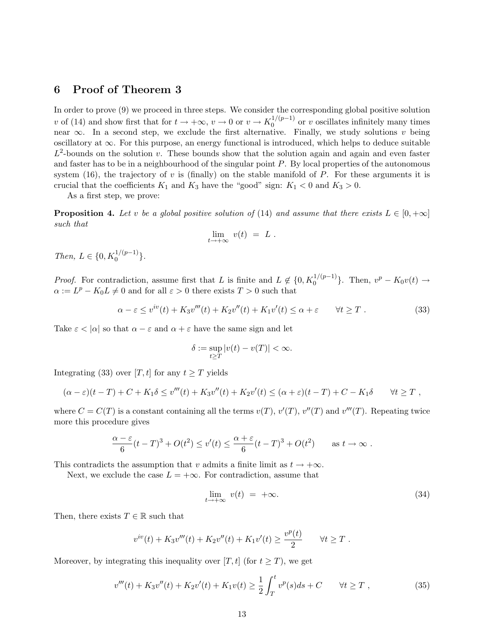## 6 Proof of Theorem 3

In order to prove (9) we proceed in three steps. We consider the corresponding global positive solution v of (14) and show first that for  $t \to +\infty$ ,  $v \to 0$  or  $v \to K_0^{1/(p-1)}$  $0 \nvert v^{(p-1)}$  or v oscillates infinitely many times near  $\infty$ . In a second step, we exclude the first alternative. Finally, we study solutions v being oscillatory at ∞. For this purpose, an energy functional is introduced, which helps to deduce suitable  $L^2$ -bounds on the solution v. These bounds show that the solution again and again and even faster and faster has to be in a neighbourhood of the singular point  $P$ . By local properties of the autonomous system (16), the trajectory of v is (finally) on the stable manifold of  $P$ . For these arguments it is crucial that the coefficients  $K_1$  and  $K_3$  have the "good" sign:  $K_1 < 0$  and  $K_3 > 0$ .

As a first step, we prove:

**Proposition 4.** Let v be a global positive solution of (14) and assume that there exists  $L \in [0, +\infty]$ such that

$$
\lim_{t \to +\infty} v(t) = L.
$$

Then,  $L \in \{0, K_0^{1/(p-1)}\}.$ 

*Proof.* For contradiction, assume first that L is finite and  $L \notin \{0, K_0^{1/(p-1)}\}$ . Then,  $v^p - K_0v(t) \to$  $\alpha := L^p - K_0 L \neq 0$  and for all  $\varepsilon > 0$  there exists  $T > 0$  such that

$$
\alpha - \varepsilon \le v^{iv}(t) + K_3 v'''(t) + K_2 v''(t) + K_1 v'(t) \le \alpha + \varepsilon \qquad \forall t \ge T . \tag{33}
$$

Take  $\varepsilon < |\alpha|$  so that  $\alpha - \varepsilon$  and  $\alpha + \varepsilon$  have the same sign and let

$$
\delta := \sup_{t \ge T} |v(t) - v(T)| < \infty.
$$

Integrating (33) over [T, t] for any  $t \geq T$  yields

$$
(\alpha - \varepsilon)(t - T) + C + K_1 \delta \le v'''(t) + K_3 v''(t) + K_2 v'(t) \le (\alpha + \varepsilon)(t - T) + C - K_1 \delta \qquad \forall t \ge T,
$$

where  $C = C(T)$  is a constant containing all the terms  $v(T)$ ,  $v'(T)$ ,  $v''(T)$  and  $v'''(T)$ . Repeating twice more this procedure gives

$$
\frac{\alpha - \varepsilon}{6}(t - T)^3 + O(t^2) \le v'(t) \le \frac{\alpha + \varepsilon}{6}(t - T)^3 + O(t^2) \quad \text{as } t \to \infty.
$$

This contradicts the assumption that v admits a finite limit as  $t \to +\infty$ .

Next, we exclude the case  $L = +\infty$ . For contradiction, assume that

$$
\lim_{t \to +\infty} v(t) = +\infty. \tag{34}
$$

Then, there exists  $T \in \mathbb{R}$  such that

$$
v^{iv}(t) + K_3 v'''(t) + K_2 v''(t) + K_1 v'(t) \ge \frac{v^p(t)}{2} \qquad \forall t \ge T.
$$

Moreover, by integrating this inequality over [T, t] (for  $t \geq T$ ), we get

$$
v'''(t) + K_3 v''(t) + K_2 v'(t) + K_1 v(t) \ge \frac{1}{2} \int_T^t v^p(s) ds + C \qquad \forall t \ge T,
$$
\n(35)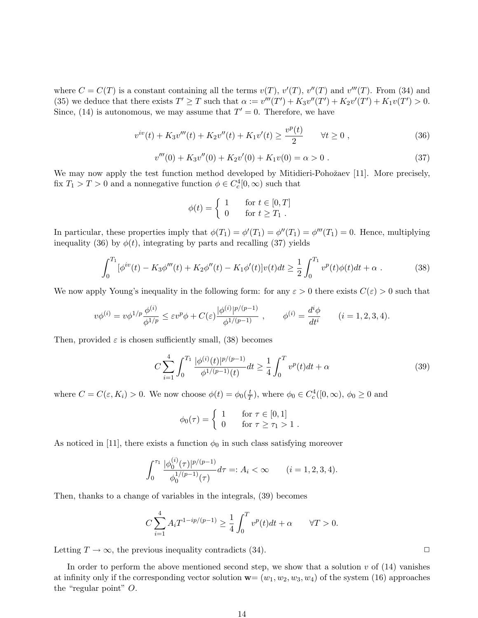where  $C = C(T)$  is a constant containing all the terms  $v(T)$ ,  $v'(T)$ ,  $v''(T)$  and  $v'''(T)$ . From (34) and (35) we deduce that there exists  $T' \geq T$  such that  $\alpha := v'''(T') + K_3v''(T') + K_2v'(T') + K_1v(T') > 0$ . Since, (14) is autonomous, we may assume that  $T' = 0$ . Therefore, we have

$$
v^{iv}(t) + K_3 v'''(t) + K_2 v''(t) + K_1 v'(t) \ge \frac{v^p(t)}{2} \qquad \forall t \ge 0,
$$
\n(36)

$$
v'''(0) + K_3 v''(0) + K_2 v'(0) + K_1 v(0) = \alpha > 0.
$$
\n(37)

We may now apply the test function method developed by Mitidieri-Pohožaev [11]. More precisely, fix  $T_1 > T > 0$  and a nonnegative function  $\phi \in C_c^4[0, \infty)$  such that

$$
\phi(t) = \begin{cases} 1 & \text{for } t \in [0, T] \\ 0 & \text{for } t \ge T_1 \end{cases}
$$

In particular, these properties imply that  $\phi(T_1) = \phi'(T_1) = \phi''(T_1) = \phi'''(T_1) = 0$ . Hence, multiplying inequality (36) by  $\phi(t)$ , integrating by parts and recalling (37) yields

$$
\int_0^{T_1} [\phi^{iv}(t) - K_3 \phi'''(t) + K_2 \phi''(t) - K_1 \phi'(t)] v(t) dt \ge \frac{1}{2} \int_0^{T_1} v^p(t) \phi(t) dt + \alpha.
$$
 (38)

We now apply Young's inequality in the following form: for any  $\varepsilon > 0$  there exists  $C(\varepsilon) > 0$  such that

$$
v\phi^{(i)} = v\phi^{1/p}\frac{\phi^{(i)}}{\phi^{1/p}} \le \varepsilon v^p \phi + C(\varepsilon) \frac{|\phi^{(i)}|^{p/(p-1)}}{\phi^{1/(p-1)}} , \qquad \phi^{(i)} = \frac{d^i \phi}{dt^i} \qquad (i = 1, 2, 3, 4).
$$

Then, provided  $\varepsilon$  is chosen sufficiently small, (38) becomes

$$
C\sum_{i=1}^{4} \int_{0}^{T_1} \frac{|\phi^{(i)}(t)|^{p/(p-1)}}{\phi^{1/(p-1)}(t)} dt \geq \frac{1}{4} \int_{0}^{T} v^p(t) dt + \alpha
$$
\n(39)

where  $C = C(\varepsilon, K_i) > 0$ . We now choose  $\phi(t) = \phi_0(\frac{t}{7})$  $(\frac{t}{T})$ , where  $\phi_0 \in C_c^4([0,\infty), \phi_0 \geq 0$  and

$$
\phi_0(\tau) = \begin{cases} 1 & \text{for } \tau \in [0,1] \\ 0 & \text{for } \tau \ge \tau_1 > 1 \end{cases}.
$$

As noticed in [11], there exists a function  $\phi_0$  in such class satisfying moreover

$$
\int_0^{\tau_1} \frac{|\phi_0^{(i)}(\tau)|^{p/(p-1)}}{\phi_0^{1/(p-1)}(\tau)} d\tau =: A_i < \infty \qquad (i = 1, 2, 3, 4).
$$

Then, thanks to a change of variables in the integrals, (39) becomes

$$
C\sum_{i=1}^{4} A_i T^{1-ip/(p-1)} \ge \frac{1}{4} \int_0^T v^p(t) dt + \alpha \qquad \forall T > 0.
$$

Letting  $T \to \infty$ , the previous inequality contradicts (34).

In order to perform the above mentioned second step, we show that a solution  $v$  of  $(14)$  vanishes at infinity only if the corresponding vector solution  $\mathbf{w}=(w_1, w_2, w_3, w_4)$  of the system (16) approaches the "regular point" O.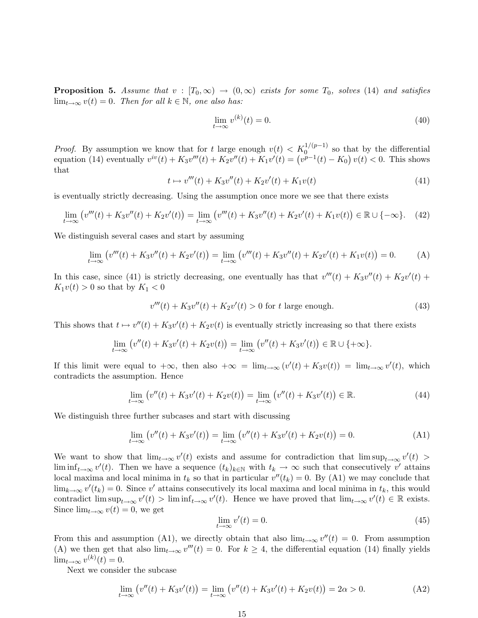**Proposition 5.** Assume that  $v : [T_0, \infty) \to (0, \infty)$  exists for some  $T_0$ , solves (14) and satisfies  $\lim_{t\to\infty} v(t) = 0$ . Then for all  $k \in \mathbb{N}$ , one also has:

$$
\lim_{t \to \infty} v^{(k)}(t) = 0. \tag{40}
$$

*Proof.* By assumption we know that for t large enough  $v(t) < K_0^{1/(p-1)}$  so that by the differential *Proof.* By assumption we know that for t large enough  $v(t) < K_0$ . So that by the differential equation (14) eventually  $v^{iv}(t) + K_3v'''(t) + K_2v''(t) + K_1v'(t) = (v^{p-1}(t) - K_0)v(t) < 0$ . This shows that

$$
t \mapsto v'''(t) + K_3 v''(t) + K_2 v'(t) + K_1 v(t)
$$
\n(41)

is eventually strictly decreasing. Using the assumption once more we see that there exists

$$
\lim_{t \to \infty} \left( v'''(t) + K_3 v''(t) + K_2 v'(t) \right) = \lim_{t \to \infty} \left( v'''(t) + K_3 v''(t) + K_2 v'(t) + K_1 v(t) \right) \in \mathbb{R} \cup \{-\infty\}.
$$
 (42)

We distinguish several cases and start by assuming

$$
\lim_{t \to \infty} (v'''(t) + K_3 v''(t) + K_2 v'(t)) = \lim_{t \to \infty} (v'''(t) + K_3 v''(t) + K_2 v'(t) + K_1 v(t)) = 0.
$$
 (A)

In this case, since (41) is strictly decreasing, one eventually has that  $v'''(t) + K_3v''(t) + K_2v'(t) +$  $K_1v(t) > 0$  so that by  $K_1 < 0$ 

$$
v'''(t) + K_3 v''(t) + K_2 v'(t) > 0 \text{ for } t \text{ large enough.}
$$
 (43)

This shows that  $t \mapsto v''(t) + K_3v'(t) + K_2v(t)$  is eventually strictly increasing so that there exists

$$
\lim_{t \to \infty} (v''(t) + K_3 v'(t) + K_2 v(t)) = \lim_{t \to \infty} (v''(t) + K_3 v'(t)) \in \mathbb{R} \cup \{ +\infty \}.
$$

If this limit were equal to  $+\infty$ , then also  $+\infty = \lim_{t\to\infty} (v'(t) + K_3v(t)) = \lim_{t\to\infty} v'(t)$ , which contradicts the assumption. Hence

$$
\lim_{t \to \infty} (v''(t) + K_3 v'(t) + K_2 v(t)) = \lim_{t \to \infty} (v''(t) + K_3 v'(t)) \in \mathbb{R}.
$$
\n(44)

We distinguish three further subcases and start with discussing

$$
\lim_{t \to \infty} (v''(t) + K_3 v'(t)) = \lim_{t \to \infty} (v''(t) + K_3 v'(t) + K_2 v(t)) = 0.
$$
 (A1)

We want to show that  $\lim_{t\to\infty} v'(t)$  exists and assume for contradiction that  $\limsup_{t\to\infty} v'(t)$ lim inf<sub>t→∞</sub>  $v'(t)$ . Then we have a sequence  $(t_k)_{k\in\mathbb{N}}$  with  $t_k \to \infty$  such that consecutively v' attains local maxima and local minima in  $t_k$  so that in particular  $v''(t_k) = 0$ . By (A1) we may conclude that  $\lim_{k\to\infty} v'(t_k) = 0$ . Since v' attains consecutively its local maxima and local minima in  $t_k$ , this would contradict  $\limsup_{t\to\infty} v'(t) > \liminf_{t\to\infty} v'(t)$ . Hence we have proved that  $\lim_{t\to\infty} v'(t) \in \mathbb{R}$  exists. Since  $\lim_{t\to\infty} v(t) = 0$ , we get

$$
\lim_{t \to \infty} v'(t) = 0. \tag{45}
$$

From this and assumption (A1), we directly obtain that also  $\lim_{t\to\infty} v''(t) = 0$ . From assumption (A) we then get that also  $\lim_{t\to\infty} v'''(t) = 0$ . For  $k \geq 4$ , the differential equation (14) finally yields  $\lim_{t\to\infty} v^{(k)}(t) = 0.$ 

Next we consider the subcase

$$
\lim_{t \to \infty} (v''(t) + K_3 v'(t)) = \lim_{t \to \infty} (v''(t) + K_3 v'(t) + K_2 v(t)) = 2\alpha > 0.
$$
 (A2)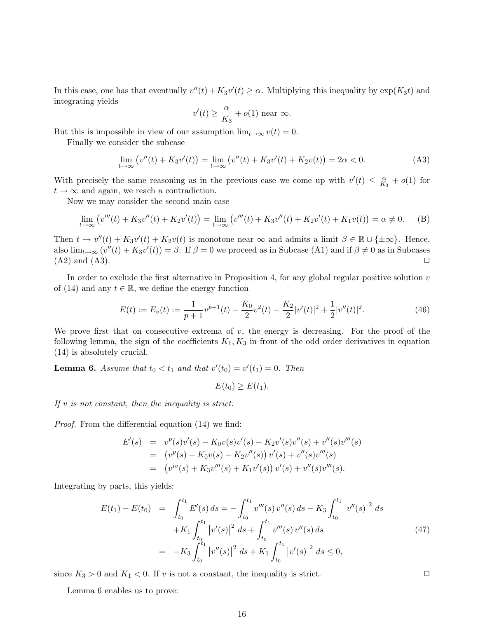In this case, one has that eventually  $v''(t) + K_3v'(t) \geq \alpha$ . Multiplying this inequality by  $\exp(K_3t)$  and integrating yields

$$
v'(t) \ge \frac{\alpha}{K_3} + o(1)
$$
 near  $\infty$ .

But this is impossible in view of our assumption  $\lim_{t\to\infty} v(t) = 0$ .

Finally we consider the subcase

$$
\lim_{t \to \infty} (v''(t) + K_3 v'(t)) = \lim_{t \to \infty} (v''(t) + K_3 v'(t) + K_2 v(t)) = 2\alpha < 0.
$$
 (A3)

With precisely the same reasoning as in the previous case we come up with  $v'(t) \leq \frac{\alpha}{K}$  $\frac{\alpha}{K_3}+o(1)$  for  $t \to \infty$  and again, we reach a contradiction.

Now we may consider the second main case

$$
\lim_{t \to \infty} (v'''(t) + K_3 v''(t) + K_2 v'(t)) = \lim_{t \to \infty} (v'''(t) + K_3 v''(t) + K_2 v'(t) + K_1 v(t)) = \alpha \neq 0.
$$
 (B)

Then  $t \mapsto v''(t) + K_3v'(t) + K_2v(t)$  is monotone near  $\infty$  and admits a limit  $\beta \in \mathbb{R} \cup \{\pm \infty\}$ . Hence, also  $\lim_{t\to\infty} (v''(t) + K_3v'(t)) = \beta$ . If  $\beta = 0$  we proceed as in Subcase (A1) and if  $\beta \neq 0$  as in Subcases  $(A2)$  and  $(A3)$ .

In order to exclude the first alternative in Proposition 4, for any global regular positive solution  $v$ of (14) and any  $t \in \mathbb{R}$ , we define the energy function

$$
E(t) := E_v(t) := \frac{1}{p+1}v^{p+1}(t) - \frac{K_0}{2}v^2(t) - \frac{K_2}{2}|v'(t)|^2 + \frac{1}{2}|v''(t)|^2.
$$
 (46)

We prove first that on consecutive extrema of  $v$ , the energy is decreasing. For the proof of the following lemma, the sign of the coefficients  $K_1, K_3$  in front of the odd order derivatives in equation (14) is absolutely crucial.

**Lemma 6.** Assume that  $t_0 < t_1$  and that  $v'(t_0) = v'(t_1) = 0$ . Then

$$
E(t_0) \ge E(t_1).
$$

If  $v$  is not constant, then the inequality is strict.

Proof. From the differential equation (14) we find:

$$
E'(s) = vp(s)v'(s) - K_0v(s)v'(s) - K_2v'(s)v''(s) + v''(s)v'''(s)
$$
  
= 
$$
(vp(s) - K_0v(s) - K_2v''(s))v'(s) + v''(s)v'''(s)
$$
  
= 
$$
(viv(s) + K_3v'''(s) + K_1v'(s))v'(s) + v''(s)v'''(s).
$$

Integrating by parts, this yields:

$$
E(t_1) - E(t_0) = \int_{t_0}^{t_1} E'(s) ds = -\int_{t_0}^{t_1} v'''(s) v''(s) ds - K_3 \int_{t_0}^{t_1} |v''(s)|^2 ds
$$
  
+K\_1 \int\_{t\_0}^{t\_1} |v'(s)|^2 ds + \int\_{t\_0}^{t\_1} v'''(s) v''(s) ds  
= -K\_3 \int\_{t\_0}^{t\_1} |v''(s)|^2 ds + K\_1 \int\_{t\_0}^{t\_1} |v'(s)|^2 ds \le 0, (47)

since  $K_3 > 0$  and  $K_1 < 0$ . If v is not a constant, the inequality is strict.

Lemma 6 enables us to prove: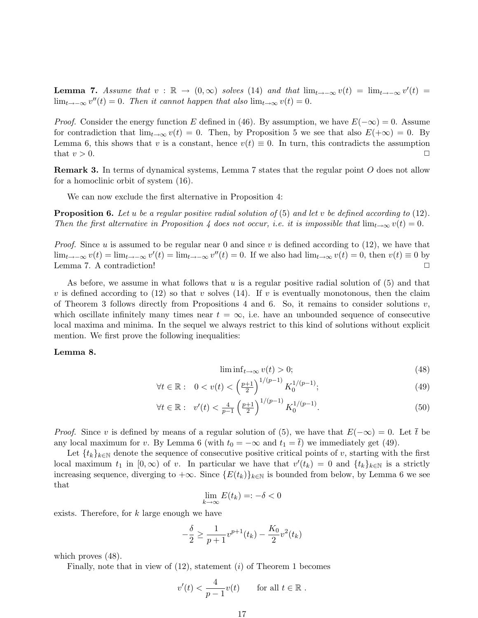**Lemma 7.** Assume that  $v : \mathbb{R} \to (0, \infty)$  solves (14) and that  $\lim_{t \to -\infty} v(t) = \lim_{t \to -\infty} v'(t)$  $\lim_{t\to-\infty} v''(t) = 0$ . Then it cannot happen that also  $\lim_{t\to\infty} v(t) = 0$ .

*Proof.* Consider the energy function E defined in (46). By assumption, we have  $E(-\infty) = 0$ . Assume for contradiction that  $\lim_{t\to\infty} v(t) = 0$ . Then, by Proposition 5 we see that also  $E(+\infty) = 0$ . By Lemma 6, this shows that v is a constant, hence  $v(t) \equiv 0$ . In turn, this contradicts the assumption that  $v > 0$ .

**Remark 3.** In terms of dynamical systems, Lemma 7 states that the regular point O does not allow for a homoclinic orbit of system (16).

We can now exclude the first alternative in Proposition 4:

**Proposition 6.** Let u be a regular positive radial solution of (5) and let v be defined according to (12). Then the first alternative in Proposition 4 does not occur, i.e. it is impossible that  $\lim_{t\to\infty} v(t) = 0$ .

*Proof.* Since u is assumed to be regular near 0 and since v is defined according to  $(12)$ , we have that  $\lim_{t\to-\infty} v(t) = \lim_{t\to-\infty} v'(t) = \lim_{t\to-\infty} v''(t) = 0$ . If we also had  $\lim_{t\to\infty} v(t) = 0$ , then  $v(t) \equiv 0$  by Lemma 7. A contradiction!

As before, we assume in what follows that  $u$  is a regular positive radial solution of  $(5)$  and that v is defined according to (12) so that v solves (14). If v is eventually monotonous, then the claim of Theorem 3 follows directly from Propositions 4 and 6. So, it remains to consider solutions  $v$ , which oscillate infinitely many times near  $t = \infty$ , i.e. have an unbounded sequence of consecutive local maxima and minima. In the sequel we always restrict to this kind of solutions without explicit mention. We first prove the following inequalities:

#### Lemma 8.

$$
\liminf_{t \to \infty} v(t) > 0; \tag{48}
$$

$$
\forall t \in \mathbb{R}: \quad 0 < v(t) < \left(\frac{p+1}{2}\right)^{1/(p-1)} K_0^{1/(p-1)}; \tag{49}
$$

$$
\forall t \in \mathbb{R}: \quad v'(t) < \frac{4}{p-1} \left(\frac{p+1}{2}\right)^{1/(p-1)} K_0^{1/(p-1)}.\tag{50}
$$

*Proof.* Since v is defined by means of a regular solution of (5), we have that  $E(-\infty) = 0$ . Let  $\bar{t}$  be any local maximum for v. By Lemma 6 (with  $t_0 = -\infty$  and  $t_1 = \overline{t}$ ) we immediately get (49).

Let  $\{t_k\}_{k\in\mathbb{N}}$  denote the sequence of consecutive positive critical points of v, starting with the first local maximum  $t_1$  in  $[0,\infty)$  of v. In particular we have that  $v'(t_k) = 0$  and  $\{t_k\}_{k\in\mathbb{N}}$  is a strictly increasing sequence, diverging to  $+\infty$ . Since  $\{E(t_k)\}_{k\in\mathbb{N}}$  is bounded from below, by Lemma 6 we see that

$$
\lim_{k \to \infty} E(t_k) =: -\delta < 0
$$

exists. Therefore, for k large enough we have

$$
-\frac{\delta}{2} \ge \frac{1}{p+1}v^{p+1}(t_k) - \frac{K_0}{2}v^2(t_k)
$$

which proves (48).

Finally, note that in view of  $(12)$ , statement  $(i)$  of Theorem 1 becomes

$$
v'(t) < \frac{4}{p-1}v(t) \qquad \text{for all } t \in \mathbb{R} \ .
$$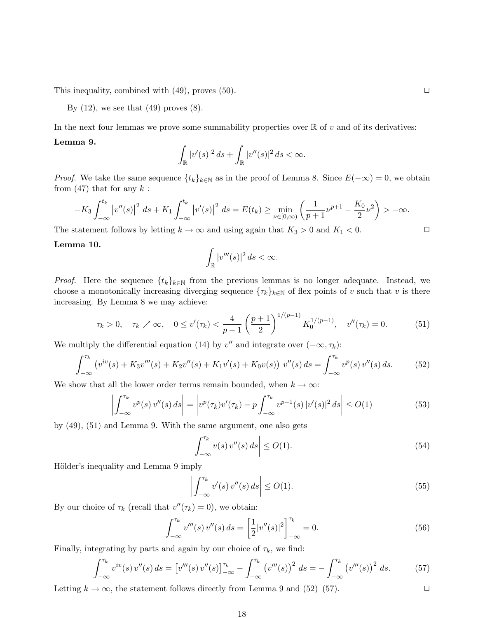This inequality, combined with  $(49)$ , proves  $(50)$ .

By  $(12)$ , we see that  $(49)$  proves  $(8)$ .

In the next four lemmas we prove some summability properties over  $\mathbb R$  of v and of its derivatives:

#### Lemma 9.

$$
\int_{\mathbb{R}}|v'(s)|^2 ds+\int_{\mathbb{R}}|v''(s)|^2 ds<\infty.
$$

*Proof.* We take the same sequence  $\{t_k\}_{k\in\mathbb{N}}$  as in the proof of Lemma 8. Since  $E(-\infty) = 0$ , we obtain from  $(47)$  that for any  $k$ :

$$
-K_3 \int_{-\infty}^{t_k} \left| v''(s) \right|^2 \, ds + K_1 \int_{-\infty}^{t_k} \left| v'(s) \right|^2 \, ds = E(t_k) \ge \min_{\nu \in [0,\infty)} \left( \frac{1}{p+1} \nu^{p+1} - \frac{K_0}{2} \nu^2 \right) > -\infty.
$$

The statement follows by letting  $k \to \infty$  and using again that  $K_3 > 0$  and  $K_1 < 0$ .

#### Lemma 10.

$$
\int_{\mathbb{R}} |v'''(s)|^2 ds < \infty.
$$

*Proof.* Here the sequence  $\{t_k\}_{k\in\mathbb{N}}$  from the previous lemmas is no longer adequate. Instead, we choose a monotonically increasing diverging sequence  $\{\tau_k\}_{k\in\mathbb{N}}$  of flex points of v such that v is there increasing. By Lemma 8 we may achieve:

$$
\tau_k > 0, \quad \tau_k \nearrow \infty, \quad 0 \le v'(\tau_k) < \frac{4}{p-1} \left(\frac{p+1}{2}\right)^{1/(p-1)} K_0^{1/(p-1)}, \quad v''(\tau_k) = 0. \tag{51}
$$

We multiply the differential equation (14) by  $v''$  and integrate over  $(-\infty, \tau_k)$ :

$$
\int_{-\infty}^{\tau_k} \left( v^{iv}(s) + K_3 v'''(s) + K_2 v''(s) + K_1 v'(s) + K_0 v(s) \right) v''(s) ds = \int_{-\infty}^{\tau_k} v^p(s) v''(s) ds. \tag{52}
$$

We show that all the lower order terms remain bounded, when  $k \to \infty$ :

$$
\left| \int_{-\infty}^{\tau_k} v^p(s) \, v''(s) \, ds \right| = \left| v^p(\tau_k) v'(\tau_k) - p \int_{-\infty}^{\tau_k} v^{p-1}(s) \, |v'(s)|^2 \, ds \right| \le O(1) \tag{53}
$$

by (49), (51) and Lemma 9. With the same argument, one also gets

$$
\left| \int_{-\infty}^{\tau_k} v(s) \, v''(s) \, ds \right| \le O(1). \tag{54}
$$

Hölder's inequality and Lemma 9 imply

$$
\left| \int_{-\infty}^{\tau_k} v'(s) \, v''(s) \, ds \right| \le O(1). \tag{55}
$$

By our choice of  $\tau_k$  (recall that  $v''(\tau_k) = 0$ ), we obtain:

$$
\int_{-\infty}^{\tau_k} v'''(s) v''(s) ds = \left[\frac{1}{2}|v''(s)|^2\right]_{-\infty}^{\tau_k} = 0.
$$
 (56)

Finally, integrating by parts and again by our choice of  $\tau_k$ , we find:

$$
\int_{-\infty}^{\tau_k} v^{iv}(s) v''(s) ds = [v'''(s) v''(s)]_{-\infty}^{\tau_k} - \int_{-\infty}^{\tau_k} (v'''(s))^2 ds = - \int_{-\infty}^{\tau_k} (v'''(s))^2 ds. \tag{57}
$$

Letting  $k \to \infty$ , the statement follows directly from Lemma 9 and (52)–(57).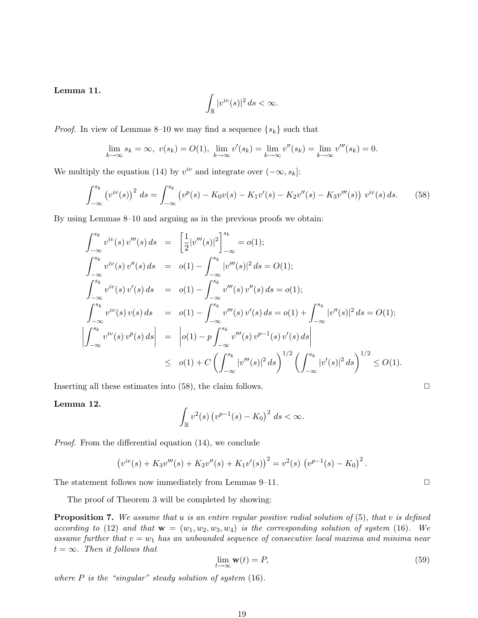### Lemma 11.

$$
\int_{\mathbb{R}} |v^{iv}(s)|^2 ds < \infty.
$$

*Proof.* In view of Lemmas 8–10 we may find a sequence  $\{s_k\}$  such that

$$
\lim_{k \to \infty} s_k = \infty, \ v(s_k) = O(1), \ \lim_{k \to \infty} v'(s_k) = \lim_{k \to \infty} v''(s_k) = \lim_{k \to \infty} v'''(s_k) = 0.
$$

We multiply the equation (14) by  $v^{iv}$  and integrate over  $(-\infty, s_k]$ :

$$
\int_{-\infty}^{s_k} \left( v^{iv}(s) \right)^2 ds = \int_{-\infty}^{s_k} \left( v^p(s) - K_0 v(s) - K_1 v'(s) - K_2 v''(s) - K_3 v'''(s) \right) v^{iv}(s) ds. \tag{58}
$$

By using Lemmas 8–10 and arguing as in the previous proofs we obtain:

$$
\int_{-\infty}^{s_k} v^{iv}(s) v'''(s) ds = \left[\frac{1}{2}|v'''(s)|^2\right]_{-\infty}^{s_k} = o(1);
$$
\n
$$
\int_{-\infty}^{s_k} v^{iv}(s) v''(s) ds = o(1) - \int_{-\infty}^{s_k} |v'''(s)|^2 ds = O(1);
$$
\n
$$
\int_{-\infty}^{s_k} v^{iv}(s) v'(s) ds = o(1) - \int_{-\infty}^{s_k} v'''(s) v''(s) ds = o(1);
$$
\n
$$
\int_{-\infty}^{s_k} v^{iv}(s) v(s) ds = o(1) - \int_{-\infty}^{s_k} v'''(s) v'(s) ds = o(1) + \int_{-\infty}^{s_k} |v''(s)|^2 ds = O(1);
$$
\n
$$
\left|\int_{-\infty}^{s_k} v^{iv}(s) v^{p}(s) ds\right| = \left|o(1) - p \int_{-\infty}^{s_k} v'''(s) v^{p-1}(s) v'(s) ds\right|
$$
\n
$$
\leq o(1) + C \left(\int_{-\infty}^{s_k} |v'''(s)|^2 ds\right)^{1/2} \left(\int_{-\infty}^{s_k} |v'(s)|^2 ds\right)^{1/2} \leq O(1).
$$

Inserting all these estimates into  $(58)$ , the claim follows.  $\Box$ 

#### Lemma 12.

$$
\int_{\mathbb{R}} v^2(s) \left( v^{p-1}(s) - K_0 \right)^2 ds < \infty.
$$

Proof. From the differential equation (14), we conclude

$$
(v^{iv}(s) + K_3v'''(s) + K_2v''(s) + K_1v'(s))^2 = v^2(s) (v^{p-1}(s) - K_0)^2.
$$

The statement follows now immediately from Lemmas  $9-11$ .  $\Box$ 

The proof of Theorem 3 will be completed by showing:

**Proposition 7.** We assume that u is an entire regular positive radial solution of  $(5)$ , that v is defined according to (12) and that  $\mathbf{w} = (w_1, w_2, w_3, w_4)$  is the corresponding solution of system (16). We assume further that  $v = w_1$  has an unbounded sequence of consecutive local maxima and minima near  $t = \infty$ . Then it follows that

$$
\lim_{t \to \infty} \mathbf{w}(t) = P,\tag{59}
$$

where  $P$  is the "singular" steady solution of system  $(16)$ .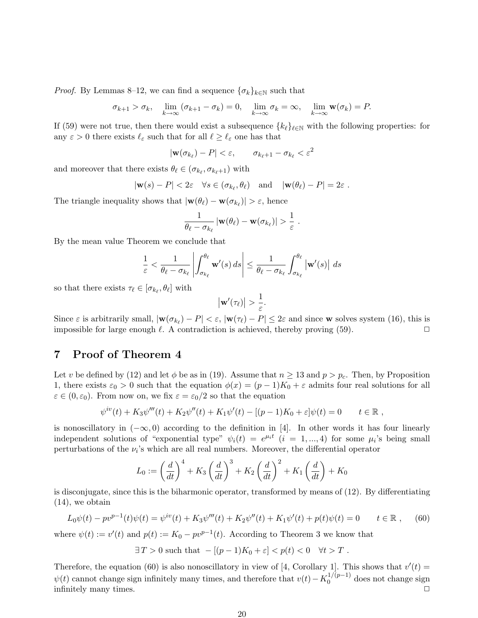*Proof.* By Lemmas 8–12, we can find a sequence  $\{\sigma_k\}_{k\in\mathbb{N}}$  such that

$$
\sigma_{k+1} > \sigma_k
$$
,  $\lim_{k \to \infty} (\sigma_{k+1} - \sigma_k) = 0$ ,  $\lim_{k \to \infty} \sigma_k = \infty$ ,  $\lim_{k \to \infty} \mathbf{w}(\sigma_k) = P$ .

If (59) were not true, then there would exist a subsequence  $\{k_\ell\}_{\ell \in \mathbb{N}}$  with the following properties: for any  $\varepsilon > 0$  there exists  $\ell_{\varepsilon}$  such that for all  $\ell \geq \ell_{\varepsilon}$  one has that

 $|\mathbf{w}(\sigma_{k_\ell}) - P| < \varepsilon, \qquad \sigma_{k_\ell+1} - \sigma_{k_\ell} < \varepsilon^2$ 

and moreover that there exists  $\theta_\ell \in (\sigma_{k_\ell}, \sigma_{k_\ell+1})$  with

$$
|\mathbf{w}(s) - P| < 2\varepsilon \quad \forall s \in (\sigma_{k_\ell}, \theta_\ell) \quad \text{and} \quad |\mathbf{w}(\theta_\ell) - P| = 2\varepsilon \; .
$$

The triangle inequality shows that  $|\mathbf{w}(\theta_{\ell}) - \mathbf{w}(\sigma_{k_{\ell}})| > \varepsilon$ , hence

$$
\frac{1}{\theta_\ell - \sigma_{k_\ell}} \left| \mathbf{w}(\theta_\ell) - \mathbf{w}(\sigma_{k_\ell}) \right| > \frac{1}{\varepsilon} \; .
$$

By the mean value Theorem we conclude that

$$
\frac{1}{\varepsilon} < \frac{1}{\theta_{\ell} - \sigma_{k_{\ell}}} \left| \int_{\sigma_{k_{\ell}}}^{\theta_{\ell}} \mathbf{w}'(s) \, ds \right| \le \frac{1}{\theta_{\ell} - \sigma_{k_{\ell}}} \int_{\sigma_{k_{\ell}}}^{\theta_{\ell}} \left| \mathbf{w}'(s) \right| \, ds
$$

so that there exists  $\tau_{\ell} \in [\sigma_{k_{\ell}}, \theta_{\ell}]$  with

$$
\big|\mathbf{w}'(\tau_\ell)\big| > \frac{1}{\varepsilon}.
$$

Since  $\varepsilon$  is arbitrarily small,  $|\mathbf{w}(\sigma_{k_\ell}) - P| < \varepsilon$ ,  $|\mathbf{w}(\tau_\ell) - P| \leq 2\varepsilon$  and since w solves system (16), this is impossible for large enough  $\ell$ . A contradiction is achieved, thereby proving (59).

### 7 Proof of Theorem 4

Let v be defined by (12) and let  $\phi$  be as in (19). Assume that  $n \geq 13$  and  $p > p_c$ . Then, by Proposition 1, there exists  $\varepsilon_0 > 0$  such that the equation  $\phi(x) = (p-1)K_0 + \varepsilon$  admits four real solutions for all  $\varepsilon \in (0, \varepsilon_0)$ . From now on, we fix  $\varepsilon = \varepsilon_0/2$  so that the equation

$$
\psi^{iv}(t) + K_3 \psi'''(t) + K_2 \psi''(t) + K_1 \psi'(t) - [(p-1)K_0 + \varepsilon] \psi(t) = 0 \qquad t \in \mathbb{R},
$$

is nonoscillatory in  $(-\infty, 0)$  according to the definition in [4]. In other words it has four linearly independent solutions of "exponential type"  $\psi_i(t) = e^{\mu_i t}$   $(i = 1, ..., 4)$  for some  $\mu_i$ 's being small perturbations of the  $\nu_i$ 's which are all real numbers. Moreover, the differential operator

$$
L_0 := \left(\frac{d}{dt}\right)^4 + K_3 \left(\frac{d}{dt}\right)^3 + K_2 \left(\frac{d}{dt}\right)^2 + K_1 \left(\frac{d}{dt}\right) + K_0
$$

is disconjugate, since this is the biharmonic operator, transformed by means of (12). By differentiating (14), we obtain

$$
L_0\psi(t) - pv^{p-1}(t)\psi(t) = \psi^{iv}(t) + K_3\psi'''(t) + K_2\psi''(t) + K_1\psi'(t) + p(t)\psi(t) = 0 \qquad t \in \mathbb{R}, \qquad (60)
$$

where  $\psi(t) := v'(t)$  and  $p(t) := K_0 - pv^{p-1}(t)$ . According to Theorem 3 we know that

 $\exists T > 0$  such that  $-[(p-1)K_0 + \varepsilon] < p(t) < 0 \quad \forall t > T$ .

Therefore, the equation (60) is also nonoscillatory in view of [4, Corollary 1]. This shows that  $v'(t)$  =  $\psi(t)$  cannot change sign infinitely many times, and therefore that  $v(t) - K_0^{1/(p-1)}$  $_0^{(1/(p-1))}$  does not change sign infinitely many times.  $\Box$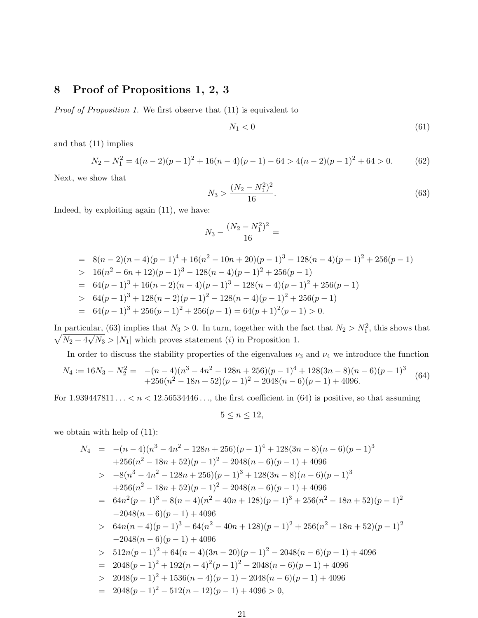# 8 Proof of Propositions 1, 2, 3

Proof of Proposition 1. We first observe that (11) is equivalent to

$$
N_1 < 0 \tag{61}
$$

and that (11) implies

$$
N_2 - N_1^2 = 4(n-2)(p-1)^2 + 16(n-4)(p-1) - 64 > 4(n-2)(p-1)^2 + 64 > 0.
$$
 (62)

Next, we show that

$$
N_3 > \frac{(N_2 - N_1^2)^2}{16}.\tag{63}
$$

Indeed, by exploiting again (11), we have:

$$
N_3 - \frac{(N_2 - N_1^2)^2}{16} =
$$

$$
= 8(n-2)(n-4)(p-1)^4 + 16(n^2 - 10n + 20)(p-1)^3 - 128(n-4)(p-1)^2 + 256(p-1)
$$
  
\n
$$
> 16(n^2 - 6n + 12)(p-1)^3 - 128(n-4)(p-1)^2 + 256(p-1)
$$
  
\n
$$
= 64(p-1)^3 + 16(n-2)(n-4)(p-1)^3 - 128(n-4)(p-1)^2 + 256(p-1)
$$
  
\n
$$
> 64(p-1)^3 + 128(n-2)(p-1)^2 - 128(n-4)(p-1)^2 + 256(p-1)
$$
  
\n
$$
= 64(p-1)^3 + 256(p-1)^2 + 256(p-1) = 64(p+1)^2(p-1) > 0.
$$

In particular, (63) implies that  $N_3 > 0$ . In turn, together with the fact that  $N_2 > N_1^2$ , this shows that  $\sqrt{N_2 + 4\sqrt{N_3}} > |N_1|$  which proves statement (*i*) in Proposition 1.

In order to discuss the stability properties of the eigenvalues  $\nu_3$  and  $\nu_4$  we introduce the function

$$
N_4 := 16N_3 - N_2^2 = -(n-4)(n^3 - 4n^2 - 128n + 256)(p-1)^4 + 128(3n-8)(n-6)(p-1)^3
$$
  
+256(n<sup>2</sup> - 18n + 52)(p-1)<sup>2</sup> - 2048(n-6)(p-1) + 4096. (64)

For  $1.939447811... < n < 12.56534446...,$  the first coefficient in (64) is positive, so that assuming

$$
5 \le n \le 12,
$$

we obtain with help of (11):

$$
N_4 = -(n-4)(n^3 - 4n^2 - 128n + 256)(p-1)^4 + 128(3n-8)(n-6)(p-1)^3
$$
  
+256(n<sup>2</sup> - 18n + 52)(p-1)<sup>2</sup> - 2048(n-6)(p-1) + 4096  
> -8(n<sup>3</sup> - 4n<sup>2</sup> - 128n + 256)(p-1)<sup>3</sup> + 128(3n-8)(n-6)(p-1)<sup>3</sup>  
+256(n<sup>2</sup> - 18n + 52)(p-1)<sup>2</sup> - 2048(n-6)(p-1) + 4096  
= 64n<sup>2</sup>(p-1)<sup>3</sup> - 8(n-4)(n<sup>2</sup> - 40n + 128)(p-1)<sup>3</sup> + 256(n<sup>2</sup> - 18n + 52)(p-1)<sup>2</sup>  
-2048(n-6)(p-1) + 4096  
> 64n(n-4)(p-1)<sup>3</sup> - 64(n<sup>2</sup> - 40n + 128)(p-1)<sup>2</sup> + 256(n<sup>2</sup> - 18n + 52)(p-1)<sup>2</sup>  
-2048(n-6)(p-1) + 4096  
> 512n(p-1)<sup>2</sup> + 64(n-4)(3n-20)(p-1)<sup>2</sup> - 2048(n-6)(p-1) + 4096  
= 2048(p-1)<sup>2</sup> + 192(n-4)<sup>2</sup>(p-1)<sup>2</sup> - 2048(n-6)(p-1) + 4096  
> 2048(p-1)<sup>2</sup> + 1536(n-4)(p-1) - 2048(n-6)(p-1) + 4096  
= 2048(p-1)<sup>2</sup> - 512(n-12)(p-1) + 4096 > 0,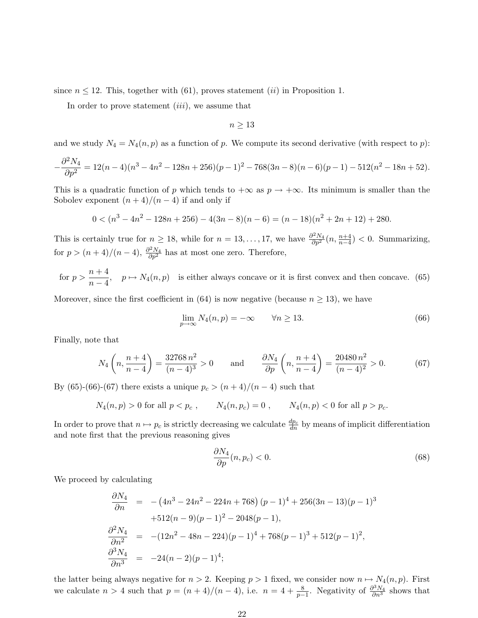since  $n \leq 12$ . This, together with (61), proves statement (*ii*) in Proposition 1.

In order to prove statement  $(iii)$ , we assume that

$$
n \geq 13
$$

and we study  $N_4 = N_4(n, p)$  as a function of p. We compute its second derivative (with respect to p):

$$
-\frac{\partial^2 N_4}{\partial p^2} = 12(n-4)(n^3 - 4n^2 - 128n + 256)(p-1)^2 - 768(3n-8)(n-6)(p-1) - 512(n^2 - 18n + 52).
$$

This is a quadratic function of p which tends to  $+\infty$  as  $p \to +\infty$ . Its minimum is smaller than the Sobolev exponent  $(n+4)/(n-4)$  if and only if

$$
0 < (n^3 - 4n^2 - 128n + 256) - 4(3n - 8)(n - 6) = (n - 18)(n^2 + 2n + 12) + 280.
$$

This is certainly true for  $n \ge 18$ , while for  $n = 13, \ldots, 17$ , we have  $\frac{\partial^2 N_4}{\partial p^2}(n, \frac{n+4}{n-4}) < 0$ . Summarizing, for  $p > (n+4)/(n-4)$ ,  $\frac{\partial^2 N_4}{\partial p^2}$  has at most one zero. Therefore,

for 
$$
p > \frac{n+4}{n-4}
$$
,  $p \mapsto N_4(n,p)$  is either always concave or it is first convex and then concave. (65)

Moreover, since the first coefficient in (64) is now negative (because  $n \geq 13$ ), we have

$$
\lim_{p \to \infty} N_4(n, p) = -\infty \qquad \forall n \ge 13. \tag{66}
$$

Finally, note that

$$
N_4\left(n, \frac{n+4}{n-4}\right) = \frac{32768 \, n^2}{(n-4)^3} > 0 \qquad \text{and} \qquad \frac{\partial N_4}{\partial p}\left(n, \frac{n+4}{n-4}\right) = \frac{20480 \, n^2}{(n-4)^2} > 0. \tag{67}
$$

By (65)-(66)-(67) there exists a unique  $p_c > (n+4)/(n-4)$  such that

$$
N_4(n, p) > 0
$$
 for all  $p < p_c$ ,  $N_4(n, p_c) = 0$ ,  $N_4(n, p) < 0$  for all  $p > p_c$ .

In order to prove that  $n \mapsto p_c$  is strictly decreasing we calculate  $\frac{dp_c}{dn}$  by means of implicit differentiation and note first that the previous reasoning gives

$$
\frac{\partial N_4}{\partial p}(n, p_c) < 0. \tag{68}
$$

We proceed by calculating

$$
\frac{\partial N_4}{\partial n} = -(4n^3 - 24n^2 - 224n + 768) (p - 1)^4 + 256(3n - 13)(p - 1)^3
$$
  
+512(n - 9)(p - 1)^2 - 2048(p - 1),  

$$
\frac{\partial^2 N_4}{\partial n^2} = -(12n^2 - 48n - 224)(p - 1)^4 + 768(p - 1)^3 + 512(p - 1)^2,
$$

$$
\frac{\partial^3 N_4}{\partial n^3} = -24(n - 2)(p - 1)^4;
$$

the latter being always negative for  $n > 2$ . Keeping  $p > 1$  fixed, we consider now  $n \mapsto N_4(n, p)$ . First we calculate  $n > 4$  such that  $p = (n + 4)/(n - 4)$ , i.e.  $n = 4 + \frac{8}{p-1}$ . Negativity of  $\frac{\partial^3 N_4}{\partial n^3}$  shows that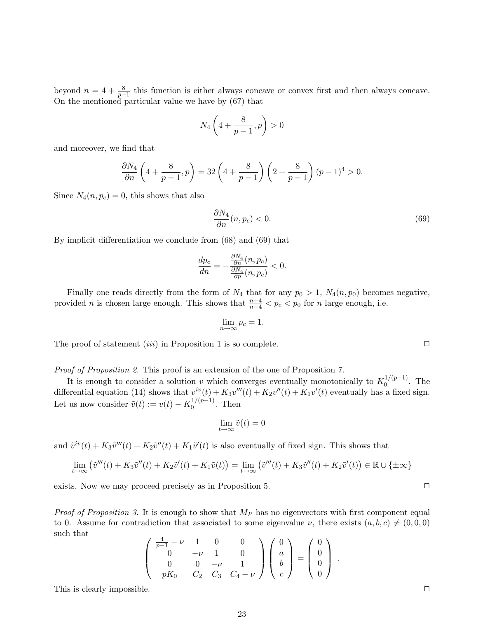beyond  $n = 4 + \frac{8}{p-1}$  this function is either always concave or convex first and then always concave. On the mentioned particular value we have by (67) that

$$
N_4\left(4+\frac{8}{p-1},p\right)>0
$$

and moreover, we find that

$$
\frac{\partial N_4}{\partial n} \left( 4 + \frac{8}{p-1}, p \right) = 32 \left( 4 + \frac{8}{p-1} \right) \left( 2 + \frac{8}{p-1} \right) (p-1)^4 > 0.
$$

Since  $N_4(n, p_c) = 0$ , this shows that also

$$
\frac{\partial N_4}{\partial n}(n, p_c) < 0. \tag{69}
$$

By implicit differentiation we conclude from (68) and (69) that

$$
\frac{dp_c}{dn} = -\frac{\frac{\partial N_4}{\partial n}(n, p_c)}{\frac{\partial N_4}{\partial p}(n, p_c)} < 0.
$$

Finally one reads directly from the form of  $N_4$  that for any  $p_0 > 1$ ,  $N_4(n, p_0)$  becomes negative, provided *n* is chosen large enough. This shows that  $\frac{n+4}{n-4} < p_c < p_0$  for *n* large enough, i.e.

$$
\lim_{n \to \infty} p_c = 1.
$$

The proof of statement *(iii)* in Proposition 1 is so complete.  $\Box$ 

Proof of Proposition 2. This proof is an extension of the one of Proposition 7.

It is enough to consider a solution v which converges eventually monotonically to  $K_0^{1/(p-1)}$  $0^{1/(p-1)}$ . The differential equation (14) shows that  $v^{iv}(t) + K_3v'''(t) + K_2v''(t) + K_1v'(t)$  eventually has a fixed sign. Let us now consider  $\tilde{v}(t) := v(t) - K_0^{1/(p-1)}$  $0^{(1/(p-1)}$ . Then

$$
\lim_{t \to \infty} \tilde{v}(t) = 0
$$

and  $\tilde{v}^{iv}(t) + K_3 \tilde{v}''(t) + K_2 \tilde{v}''(t) + K_1 \tilde{v}'(t)$  is also eventually of fixed sign. This shows that

$$
\lim_{t \to \infty} (\tilde{v}'''(t) + K_3 \tilde{v}''(t) + K_2 \tilde{v}'(t) + K_1 \tilde{v}(t)) = \lim_{t \to \infty} (\tilde{v}'''(t) + K_3 \tilde{v}''(t) + K_2 \tilde{v}'(t)) \in \mathbb{R} \cup \{\pm \infty\}
$$

exists. Now we may proceed precisely as in Proposition 5.

*Proof of Proposition 3.* It is enough to show that  $M_P$  has no eigenvectors with first component equal to 0. Assume for contradiction that associated to some eigenvalue  $\nu$ , there exists  $(a, b, c) \neq (0, 0, 0)$ such that  $\overline{a}$  $\mathbf{r}$  $\overline{a}$  $\mathbf{r}$  $\overline{a}$  $\mathbf{r}$ 

$$
\left(\begin{array}{cccc} \frac{4}{p-1}-\nu & 1 & 0 & 0 \\ 0 & -\nu & 1 & 0 \\ 0 & 0 & -\nu & 1 \\ pK_0 & C_2 & C_3 & C_4-\nu \end{array}\right)\left(\begin{array}{c} 0 \\ a \\ b \\ c \end{array}\right)=\left(\begin{array}{c} 0 \\ 0 \\ 0 \\ 0 \end{array}\right)\;.
$$

This is clearly impossible.  $\Box$